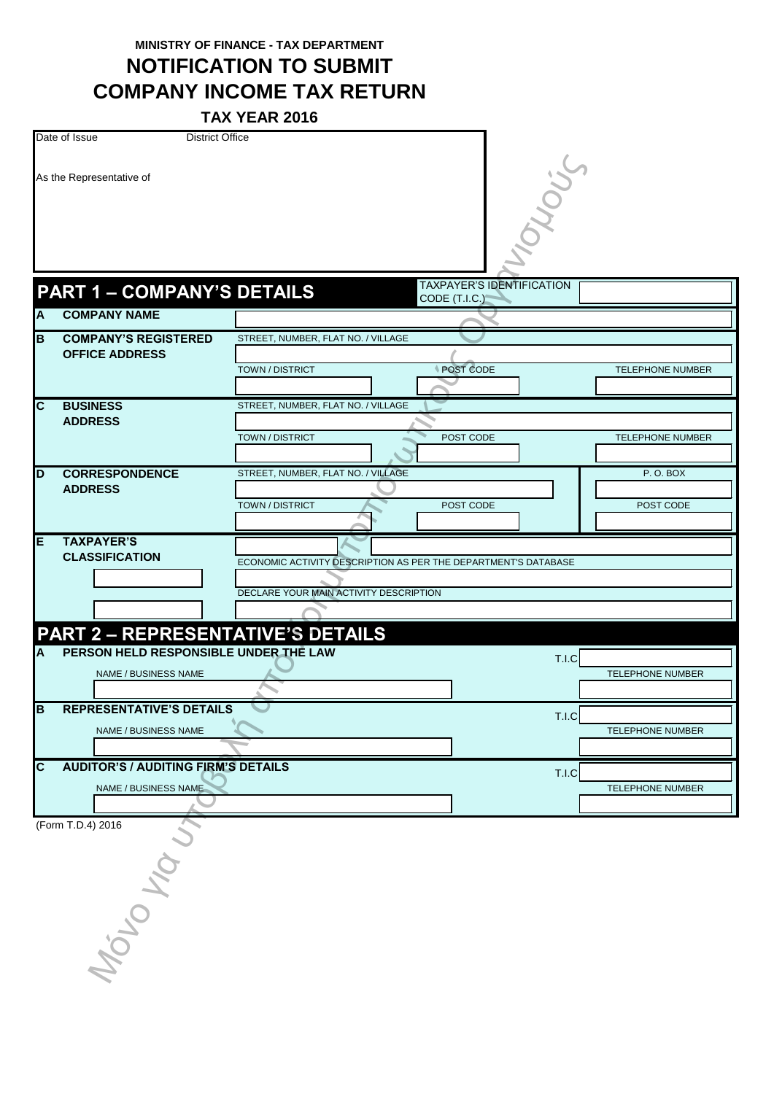**MINISTRY OF FINANCE - TAX DEPARTMENT**

**NOTIFICATION TO SUBMIT COMPANY INCOME TAX RETURN**

**TAX YEAR 2016**

|                         |                                            | IAA IEAR ZUID                                                  |                                                     |                         |
|-------------------------|--------------------------------------------|----------------------------------------------------------------|-----------------------------------------------------|-------------------------|
|                         | Date of Issue<br><b>District Office</b>    |                                                                |                                                     |                         |
|                         | As the Representative of                   |                                                                | owous                                               |                         |
|                         |                                            |                                                                |                                                     |                         |
|                         | <b>PART 1 - COMPANY'S DETAILS</b>          |                                                                | <b>TAXPAYER'S IDENTIFICATION</b><br>CODE $(T.I.C.)$ |                         |
| A                       | <b>COMPANY NAME</b>                        |                                                                |                                                     |                         |
| B                       | <b>COMPANY'S REGISTERED</b>                | STREET, NUMBER, FLAT NO. / VILLAGE                             |                                                     |                         |
|                         | <b>OFFICE ADDRESS</b>                      |                                                                |                                                     |                         |
|                         |                                            | <b>TOWN / DISTRICT</b>                                         | POST CODE                                           | TELEPHONE NUMBER        |
| $\overline{c}$          | <b>BUSINESS</b>                            | STREET, NUMBER, FLAT NO. / VILLAGE                             |                                                     |                         |
|                         | <b>ADDRESS</b>                             |                                                                |                                                     |                         |
|                         |                                            | <b>TOWN / DISTRICT</b>                                         | POST CODE                                           | TELEPHONE NUMBER        |
|                         |                                            |                                                                |                                                     |                         |
| D                       | <b>CORRESPONDENCE</b>                      | STREET, NUMBER, FLAT NO. / VILLAGE                             |                                                     | <b>P.O.BOX</b>          |
|                         | <b>ADDRESS</b>                             |                                                                |                                                     |                         |
|                         |                                            | TOWN / DISTRICT                                                | POST CODE                                           | POST CODE               |
|                         |                                            |                                                                |                                                     |                         |
| E                       | <b>TAXPAYER'S</b>                          |                                                                |                                                     |                         |
|                         | <b>CLASSIFICATION</b>                      | ECONOMIC ACTIVITY DESCRIPTION AS PER THE DEPARTMENT'S DATABASE |                                                     |                         |
|                         |                                            |                                                                |                                                     |                         |
|                         |                                            | DECLARE YOUR MAIN ACTIVITY DESCRIPTION                         |                                                     |                         |
|                         |                                            |                                                                |                                                     |                         |
|                         | <b>PART 2 - REPRESENTATIVE'S DETAILS</b>   |                                                                |                                                     |                         |
| Α                       | PERSON HELD RESPONSIBLE UNDER THE LAW      |                                                                | T.I.C                                               |                         |
|                         | NAME / BUSINESS NAME                       |                                                                |                                                     | <b>TELEPHONE NUMBER</b> |
|                         |                                            |                                                                |                                                     |                         |
| $\overline{\mathsf{B}}$ | <b>REPRESENTATIVE'S DETAILS</b>            |                                                                |                                                     |                         |
|                         | NAME / BUSINESS NAME                       |                                                                | T.I.C                                               | TELEPHONE NUMBER        |
|                         |                                            |                                                                |                                                     |                         |
| $\overline{\mathsf{c}}$ | <b>AUDITOR'S / AUDITING FIRM'S DETAILS</b> |                                                                |                                                     |                         |
|                         |                                            |                                                                | T.I.C                                               |                         |
|                         | NAME / BUSINESS NAME                       |                                                                |                                                     | TELEPHONE NUMBER        |
|                         |                                            |                                                                |                                                     |                         |
|                         | (Form T.D.4) 2016                          |                                                                |                                                     |                         |
|                         |                                            |                                                                |                                                     |                         |

(Form T.D.4) 2016 MOLO KOLO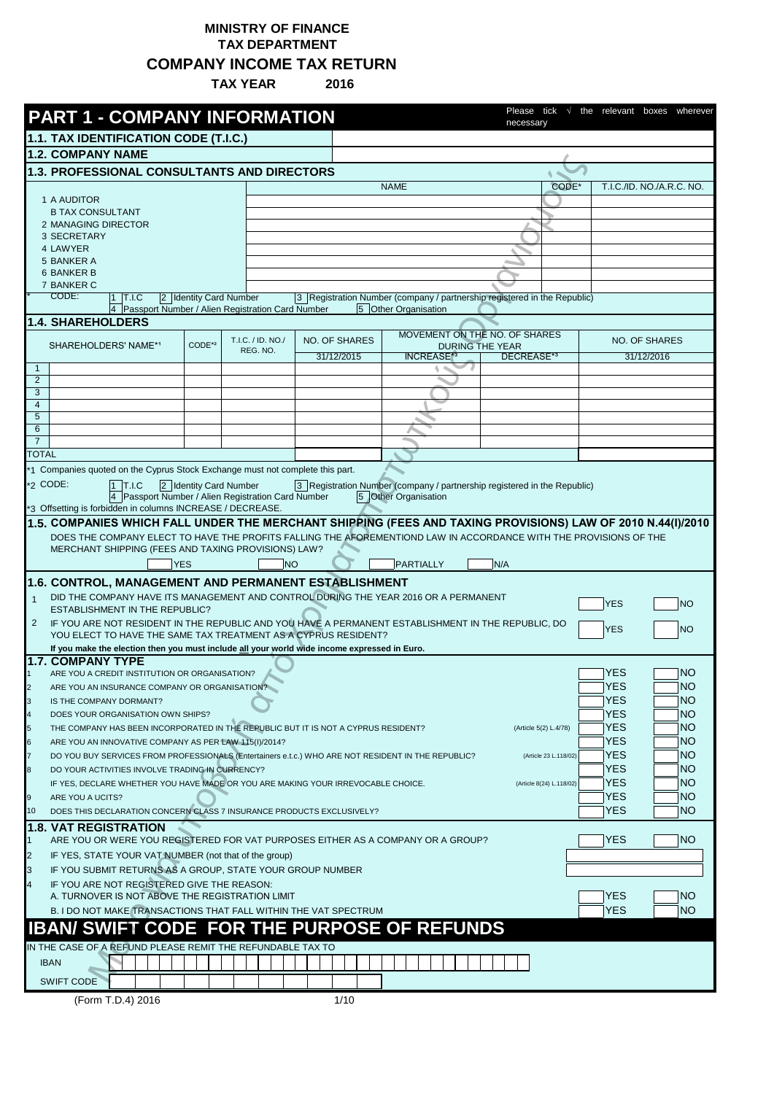## **MINISTRY OF FINANCE TAX DEPARTMENT COMPANY INCOME TAX RETURN**

**TAX YEAR 2016**

|                     | <b>PART 1 - COMPANY INFORMATION</b>                                                                                                                                      |                        |                                                  |               |                      | tick<br>Please<br>necessarv                                              | the relevant boxes<br>wherever |
|---------------------|--------------------------------------------------------------------------------------------------------------------------------------------------------------------------|------------------------|--------------------------------------------------|---------------|----------------------|--------------------------------------------------------------------------|--------------------------------|
|                     | 1.1. TAX IDENTIFICATION CODE (T.I.C.)                                                                                                                                    |                        |                                                  |               |                      |                                                                          |                                |
|                     | <b>1.2. COMPANY NAME</b>                                                                                                                                                 |                        |                                                  |               |                      |                                                                          |                                |
|                     | 1.3. PROFESSIONAL CONSULTANTS AND DIRECTORS                                                                                                                              |                        |                                                  |               |                      |                                                                          |                                |
|                     |                                                                                                                                                                          |                        |                                                  |               | <b>NAME</b>          | CODE*                                                                    | T.I.C./ID. NO./A.R.C. NO.      |
|                     | 1 A AUDITOR                                                                                                                                                              |                        |                                                  |               |                      |                                                                          |                                |
|                     | <b>B TAX CONSULTANT</b>                                                                                                                                                  |                        |                                                  |               |                      |                                                                          |                                |
|                     | 2 MANAGING DIRECTOR                                                                                                                                                      |                        |                                                  |               |                      |                                                                          |                                |
|                     | 3 SECRETARY                                                                                                                                                              |                        |                                                  |               |                      |                                                                          |                                |
|                     | 4 LAWYER<br>5 BANKER A                                                                                                                                                   |                        |                                                  |               |                      |                                                                          |                                |
|                     | <b>6 BANKER B</b>                                                                                                                                                        |                        |                                                  |               |                      |                                                                          |                                |
|                     | 7 BANKER C                                                                                                                                                               |                        |                                                  |               |                      |                                                                          |                                |
|                     | CODE:<br>$1$ T.I.C                                                                                                                                                       | 2 Identity Card Number |                                                  |               |                      | 3 Registration Number (company / partnership registered in the Republic) |                                |
|                     | $\overline{4}$                                                                                                                                                           |                        | Passport Number / Alien Registration Card Number |               | 5 Other Organisation |                                                                          |                                |
|                     | <b>1.4. SHAREHOLDERS</b>                                                                                                                                                 |                        |                                                  |               |                      | MOVEMENT ON THE NO. OF SHARES                                            |                                |
|                     | SHAREHOLDERS' NAME*1                                                                                                                                                     | CODE*2                 | T.I.C. / ID. NO./                                | NO. OF SHARES |                      | <b>DURING THE YEAR</b>                                                   | <b>NO. OF SHARES</b>           |
|                     |                                                                                                                                                                          |                        | REG. NO.                                         | 31/12/2015    | <b>INCREASE*</b>     | DECREASE*3                                                               | 31/12/2016                     |
| $\mathbf{1}$        |                                                                                                                                                                          |                        |                                                  |               |                      |                                                                          |                                |
| $\overline{2}$      |                                                                                                                                                                          |                        |                                                  |               |                      |                                                                          |                                |
| 3<br>$\overline{4}$ |                                                                                                                                                                          |                        |                                                  |               |                      |                                                                          |                                |
| 5                   |                                                                                                                                                                          |                        |                                                  |               |                      |                                                                          |                                |
| 6                   |                                                                                                                                                                          |                        |                                                  |               |                      |                                                                          |                                |
| $\overline{7}$      |                                                                                                                                                                          |                        |                                                  |               |                      |                                                                          |                                |
| <b>TOTAL</b>        |                                                                                                                                                                          |                        |                                                  |               |                      |                                                                          |                                |
|                     | *1 Companies quoted on the Cyprus Stock Exchange must not complete this part.                                                                                            |                        |                                                  |               |                      |                                                                          |                                |
|                     | *2 CODE:<br>1 T.I.C                                                                                                                                                      | 2 Identity Card Number |                                                  |               |                      | 3 Registration Number (company / partnership registered in the Republic) |                                |
|                     | 4 Passport Number / Alien Registration Card Number                                                                                                                       |                        |                                                  |               | 5 Other Organisation |                                                                          |                                |
|                     | *3 Offsetting is forbidden in columns INCREASE / DECREASE.                                                                                                               |                        |                                                  |               |                      |                                                                          |                                |
|                     | 1.5. COMPANIES WHICH FALL UNDER THE MERCHANT SHIPPING (FEES AND TAXING PROVISIONS) LAW OF 2010 N.44(I)/2010                                                              |                        |                                                  |               |                      |                                                                          |                                |
|                     | DOES THE COMPANY ELECT TO HAVE THE PROFITS FALLING THE AFOREMENTIOND LAW IN ACCORDANCE WITH THE PROVISIONS OF THE<br>MERCHANT SHIPPING (FEES AND TAXING PROVISIONS) LAW? |                        |                                                  |               |                      |                                                                          |                                |
|                     |                                                                                                                                                                          | <b>YES</b>             | <b>NO</b>                                        |               | <b>PARTIALLY</b>     | N/A                                                                      |                                |
|                     |                                                                                                                                                                          |                        |                                                  |               |                      |                                                                          |                                |
|                     | 1.6. CONTROL, MANAGEMENT AND PERMANENT ESTABLISHMENT                                                                                                                     |                        |                                                  |               |                      |                                                                          |                                |
| $\mathbf{1}$        | DID THE COMPANY HAVE ITS MANAGEMENT AND CONTROL DURING THE YEAR 2016 OR A PERMANENT<br><b>ESTABLISHMENT IN THE REPUBLIC?</b>                                             |                        |                                                  |               |                      |                                                                          | <b>YES</b><br><b>NO</b>        |
| 2                   | IF YOU ARE NOT RESIDENT IN THE REPUBLIC AND YOU HAVE A PERMANENT ESTABLISHMENT IN THE REPUBLIC, DO                                                                       |                        |                                                  |               |                      |                                                                          |                                |
|                     | YOU ELECT TO HAVE THE SAME TAX TREATMENT AS A CYPRUS RESIDENT?                                                                                                           |                        |                                                  |               |                      |                                                                          | <b>YES</b><br><b>NO</b>        |
|                     | If you make the election then you must include all your world wide income expressed in Euro.                                                                             |                        |                                                  |               |                      |                                                                          |                                |
|                     | <b>1.7. COMPANY TYPE</b>                                                                                                                                                 |                        |                                                  |               |                      |                                                                          |                                |
|                     | ARE YOU A CREDIT INSTITUTION OR ORGANISATION?                                                                                                                            |                        |                                                  |               |                      |                                                                          | YES<br>NO.                     |
|                     | ARE YOU AN INSURANCE COMPANY OR ORGANISATION?                                                                                                                            |                        |                                                  |               |                      |                                                                          | YES<br> NO                     |
| 3                   | IS THE COMPANY DORMANT?                                                                                                                                                  |                        |                                                  |               |                      |                                                                          | <b>YES</b><br>NO.              |
| 4                   | DOES YOUR ORGANISATION OWN SHIPS?                                                                                                                                        |                        |                                                  |               |                      |                                                                          | YES<br>NO.                     |
| 5                   | THE COMPANY HAS BEEN INCORPORATED IN THE REPUBLIC BUT IT IS NOT A CYPRUS RESIDENT?                                                                                       |                        |                                                  |               |                      | (Article 5(2) L.4/78)                                                    | <b>YES</b><br>NO.              |
| 6                   | ARE YOU AN INNOVATIVE COMPANY AS PER LAW 115(I)/2014?                                                                                                                    |                        |                                                  |               |                      |                                                                          | YES<br>NO.                     |
|                     | DO YOU BUY SERVICES FROM PROFESSIONALS (Entertainers e.t.c.) WHO ARE NOT RESIDENT IN THE REPUBLIC?                                                                       |                        |                                                  |               |                      | (Article 23 L.118/02)                                                    | <b>YES</b><br>NO.              |
| 8                   | DO YOUR ACTIVITIES INVOLVE TRADING IN CURRENCY?                                                                                                                          |                        |                                                  |               |                      |                                                                          | <b>YES</b><br><b>NO</b>        |
|                     | IF YES, DECLARE WHETHER YOU HAVE MADE OR YOU ARE MAKING YOUR IRREVOCABLE CHOICE.                                                                                         |                        |                                                  |               |                      | (Article 8(24) L.118/02)                                                 | <b>YES</b><br>NO.              |
| 9                   | ARE YOU A UCITS?                                                                                                                                                         |                        |                                                  |               |                      |                                                                          | <b>NO</b><br><b>YES</b>        |
| 10                  | DOES THIS DECLARATION CONCERN CLASS 7 INSURANCE PRODUCTS EXCLUSIVELY?                                                                                                    |                        |                                                  |               |                      |                                                                          | YES<br>NO.                     |
|                     | <b>1.8. VAT REGISTRATION</b>                                                                                                                                             |                        |                                                  |               |                      |                                                                          |                                |
| $\mathbf 1$         | ARE YOU OR WERE YOU REGISTERED FOR VAT PURPOSES EITHER AS A COMPANY OR A GROUP?                                                                                          |                        |                                                  |               |                      |                                                                          | <b>YES</b><br> NO              |
| $\overline{2}$      | IF YES, STATE YOUR VAT NUMBER (not that of the group)                                                                                                                    |                        |                                                  |               |                      |                                                                          |                                |
| 3                   | IF YOU SUBMIT RETURNS AS A GROUP, STATE YOUR GROUP NUMBER                                                                                                                |                        |                                                  |               |                      |                                                                          |                                |
| $\overline{4}$      | IF YOU ARE NOT REGISTERED GIVE THE REASON:                                                                                                                               |                        |                                                  |               |                      |                                                                          |                                |
|                     | A. TURNOVER IS NOT ABOVE THE REGISTRATION LIMIT                                                                                                                          |                        |                                                  |               |                      |                                                                          | YES<br> NO                     |
|                     | B. I DO NOT MAKE TRANSACTIONS THAT FALL WITHIN THE VAT SPECTRUM                                                                                                          |                        |                                                  |               |                      |                                                                          | YES<br>NO.                     |
|                     | <b>IBAN/ SWIFT CODE FOR THE PURPOSE OF REFUNDS</b>                                                                                                                       |                        |                                                  |               |                      |                                                                          |                                |
|                     | IN THE CASE OF A REFUND PLEASE REMIT THE REFUNDABLE TAX TO                                                                                                               |                        |                                                  |               |                      |                                                                          |                                |
|                     | <b>IBAN</b>                                                                                                                                                              |                        |                                                  |               |                      |                                                                          |                                |
|                     |                                                                                                                                                                          |                        |                                                  |               |                      |                                                                          |                                |
|                     | <b>SWIFT CODE</b>                                                                                                                                                        |                        |                                                  |               |                      |                                                                          |                                |
|                     | (Form T.D.4) 2016                                                                                                                                                        |                        |                                                  | 1/10          |                      |                                                                          |                                |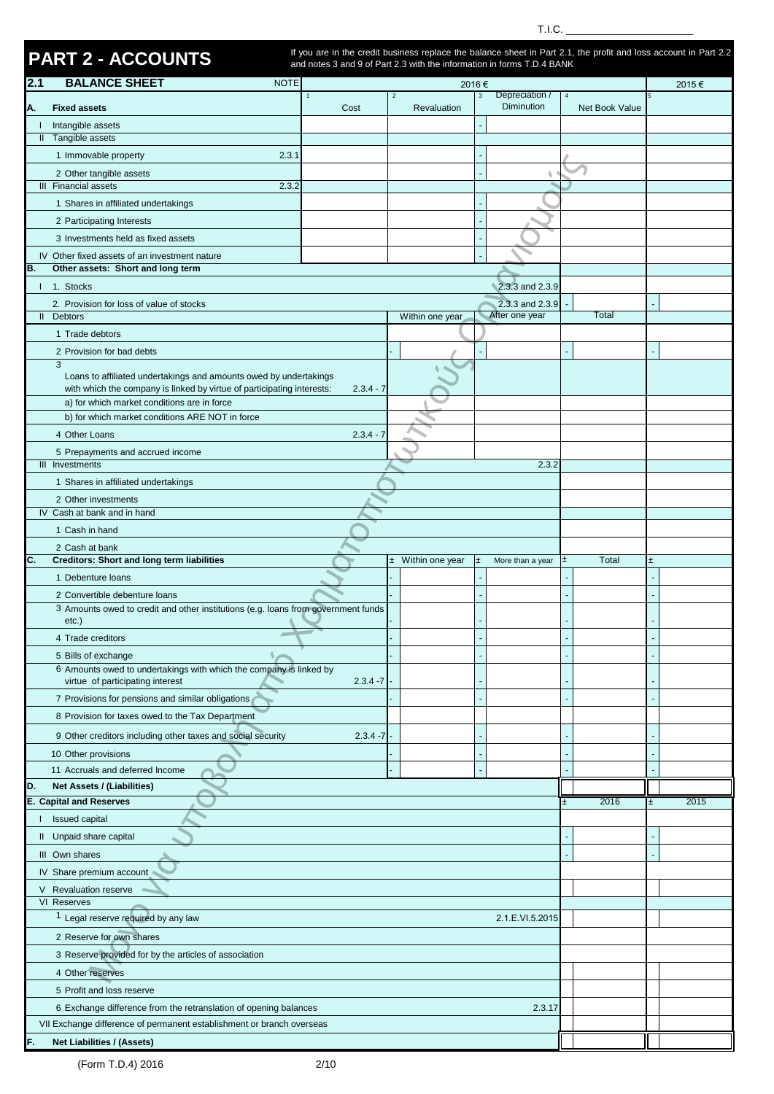|               |                                                                                                            |                                                                                                                  |                               |              | T.I.C.                            |    |                |    |       |
|---------------|------------------------------------------------------------------------------------------------------------|------------------------------------------------------------------------------------------------------------------|-------------------------------|--------------|-----------------------------------|----|----------------|----|-------|
|               |                                                                                                            | If you are in the credit business replace the balance sheet in Part 2.1, the profit and loss account in Part 2.2 |                               |              |                                   |    |                |    |       |
|               | <b>PART 2 - ACCOUNTS</b>                                                                                   | and notes 3 and 9 of Part 2.3 with the information in forms T.D.4 BANK                                           |                               |              |                                   |    |                |    |       |
| 2.1           | <b>BALANCE SHEET</b><br><b>NOTE</b>                                                                        |                                                                                                                  |                               | 2016€        |                                   |    |                |    | 2015€ |
| A.            | <b>Fixed assets</b>                                                                                        | $\mathbf{1}$<br>Cost                                                                                             | $\overline{2}$<br>Revaluation | $\mathbf{3}$ | Depreciation /<br>Diminution      |    | Net Book Value |    |       |
| I.            | Intangible assets                                                                                          |                                                                                                                  |                               |              |                                   |    |                |    |       |
|               | Il Tangible assets                                                                                         |                                                                                                                  |                               |              |                                   |    |                |    |       |
|               | 1 Immovable property<br>2.3.1                                                                              |                                                                                                                  |                               |              |                                   |    |                |    |       |
|               | 2 Other tangible assets                                                                                    |                                                                                                                  |                               |              |                                   |    |                |    |       |
|               | III Financial assets<br>2.3.2                                                                              |                                                                                                                  |                               |              |                                   |    |                |    |       |
|               | 1 Shares in affiliated undertakings                                                                        |                                                                                                                  |                               |              |                                   |    |                |    |       |
|               | 2 Participating Interests                                                                                  |                                                                                                                  |                               |              |                                   |    |                |    |       |
|               | 3 Investments held as fixed assets                                                                         |                                                                                                                  |                               |              |                                   |    |                |    |       |
|               | IV Other fixed assets of an investment nature                                                              |                                                                                                                  |                               |              |                                   |    |                |    |       |
| B.            | Other assets: Short and long term                                                                          |                                                                                                                  |                               |              |                                   |    |                |    |       |
|               | 1 1. Stocks                                                                                                |                                                                                                                  |                               |              | 2.3.3 and 2.3.9                   |    |                |    |       |
| $\mathbf{II}$ | 2. Provision for loss of value of stocks<br><b>Debtors</b>                                                 |                                                                                                                  |                               |              | 2.3.3 and 2.3.9<br>After one year |    | Total          |    |       |
|               | 1 Trade debtors                                                                                            |                                                                                                                  | Within one year               |              |                                   |    |                |    |       |
|               |                                                                                                            |                                                                                                                  |                               |              |                                   |    |                |    |       |
|               | 2 Provision for bad debts<br>3                                                                             |                                                                                                                  |                               |              |                                   |    |                |    |       |
|               | Loans to affiliated undertakings and amounts owed by undertakings                                          |                                                                                                                  |                               |              |                                   |    |                |    |       |
|               | with which the company is linked by virtue of participating interests:                                     | $2.3.4 - 7$                                                                                                      |                               |              |                                   |    |                |    |       |
|               | a) for which market conditions are in force<br>b) for which market conditions ARE NOT in force             |                                                                                                                  |                               |              |                                   |    |                |    |       |
|               |                                                                                                            |                                                                                                                  |                               |              |                                   |    |                |    |       |
|               | 4 Other Loans                                                                                              | $2.3.4 - 7$                                                                                                      |                               |              |                                   |    |                |    |       |
|               | 5 Prepayments and accrued income<br>III Investments                                                        |                                                                                                                  |                               |              | 2.3.2                             |    |                |    |       |
|               | 1 Shares in affiliated undertakings                                                                        |                                                                                                                  |                               |              |                                   |    |                |    |       |
|               | 2 Other investments                                                                                        |                                                                                                                  |                               |              |                                   |    |                |    |       |
|               | IV Cash at bank and in hand                                                                                |                                                                                                                  |                               |              |                                   |    |                |    |       |
|               | 1 Cash in hand                                                                                             |                                                                                                                  |                               |              |                                   |    |                |    |       |
|               | 2 Cash at bank                                                                                             |                                                                                                                  |                               |              |                                   |    |                |    |       |
| C.            | <b>Creditors: Short and long term liabilities</b>                                                          |                                                                                                                  | ± Within one year             | l±.          | More than a year                  | E. | Total          | Ŧ  |       |
|               | 1 Debenture loans                                                                                          |                                                                                                                  |                               |              |                                   |    |                |    |       |
|               | 2 Convertible debenture loans                                                                              |                                                                                                                  |                               |              |                                   |    |                |    |       |
|               | 3 Amounts owed to credit and other institutions (e.g. loans from government funds                          |                                                                                                                  |                               |              |                                   |    |                |    |       |
|               | $etc.$ )                                                                                                   |                                                                                                                  |                               |              |                                   |    |                |    |       |
|               | 4 Trade creditors                                                                                          |                                                                                                                  |                               |              |                                   |    |                |    |       |
|               | 5 Bills of exchange<br>6 Amounts owed to undertakings with which the company is linked by                  |                                                                                                                  |                               |              |                                   |    |                |    |       |
|               | virtue of participating interest                                                                           | $2.3.4 - 7$                                                                                                      |                               |              |                                   |    |                |    |       |
|               | 7 Provisions for pensions and similar obligations                                                          |                                                                                                                  |                               |              |                                   |    |                |    |       |
|               | 8 Provision for taxes owed to the Tax Department                                                           |                                                                                                                  |                               |              |                                   |    |                |    |       |
|               | 9 Other creditors including other taxes and social security                                                | $2.3.4 - 7$                                                                                                      |                               |              |                                   |    |                |    |       |
|               | 10 Other provisions                                                                                        |                                                                                                                  |                               |              |                                   |    |                |    |       |
|               | 11 Accruals and deferred Income                                                                            |                                                                                                                  |                               |              |                                   |    |                |    |       |
| D.            | Net Assets / (Liabilities)                                                                                 |                                                                                                                  |                               |              |                                   |    |                |    |       |
|               | <b>E. Capital and Reserves</b>                                                                             |                                                                                                                  |                               |              |                                   |    | 2016           | Ŧ. | 2015  |
|               | Issued capital                                                                                             |                                                                                                                  |                               |              |                                   |    |                |    |       |
|               | Il Unpaid share capital                                                                                    |                                                                                                                  |                               |              |                                   |    |                |    |       |
|               | III Own shares                                                                                             |                                                                                                                  |                               |              |                                   |    |                |    |       |
|               | IV Share premium account                                                                                   |                                                                                                                  |                               |              |                                   |    |                |    |       |
|               | V Revaluation reserve                                                                                      |                                                                                                                  |                               |              |                                   |    |                |    |       |
|               | VI Reserves                                                                                                |                                                                                                                  |                               |              |                                   |    |                |    |       |
|               | <sup>1</sup> Legal reserve required by any law                                                             |                                                                                                                  |                               |              | 2.1.E.VI.5.2015                   |    |                |    |       |
|               | 2 Reserve for own shares                                                                                   |                                                                                                                  |                               |              |                                   |    |                |    |       |
|               | 3 Reserve provided for by the articles of association                                                      |                                                                                                                  |                               |              |                                   |    |                |    |       |
|               | 4 Other reserves                                                                                           |                                                                                                                  |                               |              |                                   |    |                |    |       |
|               |                                                                                                            |                                                                                                                  |                               |              |                                   |    |                |    |       |
|               | 5 Profit and loss reserve                                                                                  |                                                                                                                  |                               |              |                                   |    |                |    |       |
|               | 6 Exchange difference from the retranslation of opening balances                                           |                                                                                                                  |                               |              | 2.3.17                            |    |                |    |       |
|               | VII Exchange difference of permanent establishment or branch overseas<br><b>Net Liabilities / (Assets)</b> |                                                                                                                  |                               |              |                                   |    |                |    |       |
|               |                                                                                                            |                                                                                                                  |                               |              |                                   |    |                |    |       |

(Form T.D.4) 2016 2/10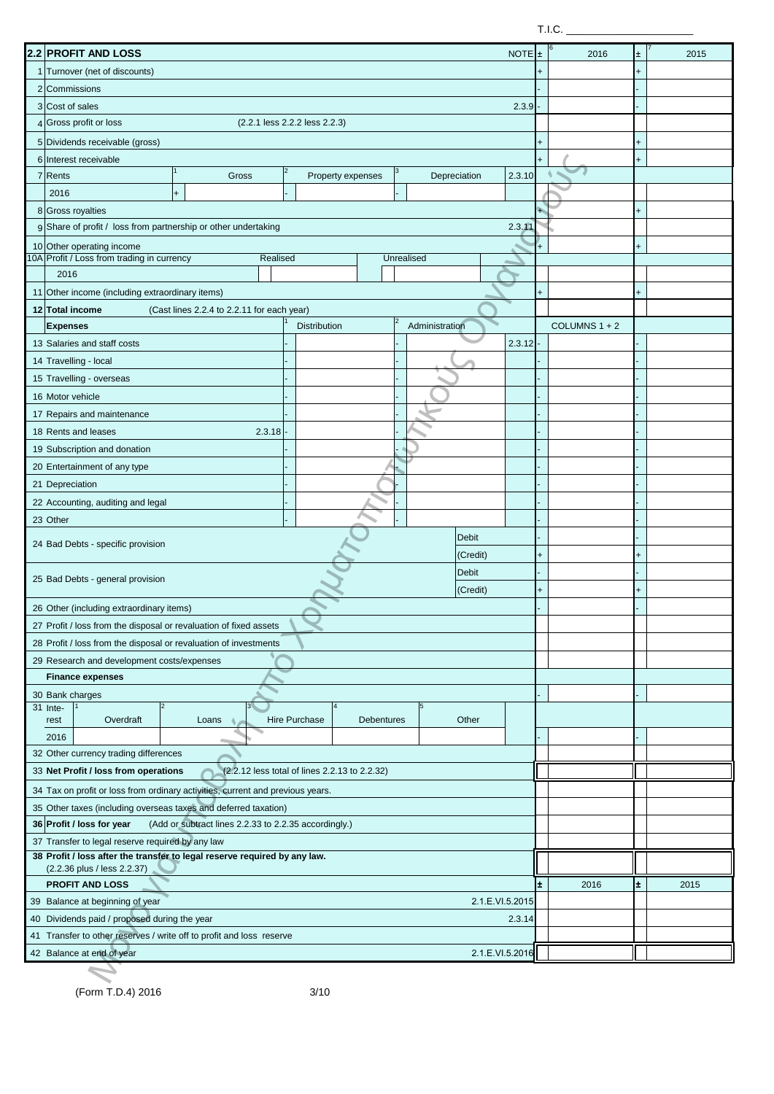$T.I.C.$ 

| 2.2 PROFIT AND LOSS                                                                                                           |                                                       |                               |                   |            |                 | $NOTE _{\pm}$ |           | 2016            | Ŧ. | 2015 |
|-------------------------------------------------------------------------------------------------------------------------------|-------------------------------------------------------|-------------------------------|-------------------|------------|-----------------|---------------|-----------|-----------------|----|------|
| 1 Turnover (net of discounts)                                                                                                 |                                                       |                               |                   |            |                 |               |           |                 |    |      |
| 2 Commissions                                                                                                                 |                                                       |                               |                   |            |                 |               |           |                 |    |      |
| 3 Cost of sales                                                                                                               |                                                       |                               |                   |            |                 | 2.3.9         |           |                 |    |      |
| Gross profit or loss                                                                                                          |                                                       | (2.2.1 less 2.2.2 less 2.2.3) |                   |            |                 |               |           |                 |    |      |
| 5 Dividends receivable (gross)                                                                                                |                                                       |                               |                   |            |                 |               |           |                 |    |      |
| 6 Interest receivable                                                                                                         |                                                       |                               |                   |            |                 |               |           |                 |    |      |
| 7 Rents                                                                                                                       | Gross                                                 |                               | Property expenses |            | Depreciation    | 2.3.10        |           |                 |    |      |
| 2016                                                                                                                          | $\ddot{}$                                             |                               |                   |            |                 |               |           |                 |    |      |
| 8 Gross royalties                                                                                                             |                                                       |                               |                   |            |                 |               |           |                 |    |      |
| 9 Share of profit / loss from partnership or other undertaking                                                                |                                                       |                               |                   |            |                 | 2.3.1         |           |                 |    |      |
| 10 Other operating income                                                                                                     |                                                       |                               |                   |            |                 |               |           |                 |    |      |
| IOA Profit / Loss from trading in currency                                                                                    | Realised                                              |                               |                   | Unrealised |                 |               |           |                 |    |      |
| 2016                                                                                                                          |                                                       |                               |                   |            |                 |               |           |                 |    |      |
| 11 Other income (including extraordinary items)                                                                               |                                                       |                               |                   |            |                 |               | $\ddot{}$ |                 |    |      |
| 12 Total income                                                                                                               | (Cast lines 2.2.4 to 2.2.11 for each year)            |                               |                   |            |                 |               |           |                 |    |      |
| <b>Expenses</b>                                                                                                               |                                                       | <b>Distribution</b>           |                   |            | Administration  |               |           | COLUMNS $1 + 2$ |    |      |
| 13 Salaries and staff costs                                                                                                   |                                                       |                               |                   |            |                 | 2.3.12        |           |                 |    |      |
| 14 Travelling - local                                                                                                         |                                                       |                               |                   |            |                 |               |           |                 |    |      |
| 15 Travelling - overseas                                                                                                      |                                                       |                               |                   |            |                 |               |           |                 |    |      |
| 16 Motor vehicle                                                                                                              |                                                       |                               |                   |            |                 |               |           |                 |    |      |
| 17 Repairs and maintenance                                                                                                    |                                                       |                               |                   |            |                 |               |           |                 |    |      |
| 18 Rents and leases                                                                                                           | 2.3.18                                                |                               |                   |            |                 |               |           |                 |    |      |
| 19 Subscription and donation                                                                                                  |                                                       |                               |                   |            |                 |               |           |                 |    |      |
| 20 Entertainment of any type                                                                                                  |                                                       |                               |                   |            |                 |               |           |                 |    |      |
| 21 Depreciation                                                                                                               |                                                       |                               |                   |            |                 |               |           |                 |    |      |
| 22 Accounting, auditing and legal                                                                                             |                                                       |                               |                   |            |                 |               |           |                 |    |      |
| 23 Other                                                                                                                      |                                                       |                               |                   |            |                 |               |           |                 |    |      |
|                                                                                                                               |                                                       |                               |                   |            | Debit           |               |           |                 |    |      |
| 24 Bad Debts - specific provision                                                                                             |                                                       |                               |                   |            |                 |               |           |                 |    |      |
|                                                                                                                               |                                                       |                               |                   |            | (Credit)        |               |           |                 |    |      |
| 25 Bad Debts - general provision                                                                                              |                                                       |                               |                   |            | Debit           |               |           |                 |    |      |
|                                                                                                                               |                                                       |                               |                   |            | (Credit)        |               | $\ddot{}$ |                 |    |      |
| 26 Other (including extraordinary items)                                                                                      |                                                       |                               |                   |            |                 |               |           |                 |    |      |
| 27 Profit / loss from the disposal or revaluation of fixed assets                                                             |                                                       |                               |                   |            |                 |               |           |                 |    |      |
| 28 Profit / loss from the disposal or revaluation of investments                                                              |                                                       |                               |                   |            |                 |               |           |                 |    |      |
| 29 Research and development costs/expenses                                                                                    |                                                       |                               |                   |            |                 |               |           |                 |    |      |
| <b>Finance expenses</b>                                                                                                       |                                                       |                               |                   |            |                 |               |           |                 |    |      |
| 30 Bank charges                                                                                                               |                                                       |                               |                   |            |                 |               |           |                 |    |      |
| 31 Inte-<br>Overdraft<br>rest                                                                                                 | Loans                                                 | Hire Purchase                 | <b>Debentures</b> |            | Other           |               |           |                 |    |      |
| 2016                                                                                                                          |                                                       |                               |                   |            |                 |               |           |                 |    |      |
| 32 Other currency trading differences                                                                                         |                                                       |                               |                   |            |                 |               |           |                 |    |      |
| 33 Net Profit / loss from operations                                                                                          | (2.2.12 less total of lines 2.2.13 to 2.2.32)         |                               |                   |            |                 |               |           |                 |    |      |
|                                                                                                                               |                                                       |                               |                   |            |                 |               |           |                 |    |      |
| 34 Tax on profit or loss from ordinary activities, current and previous years.                                                |                                                       |                               |                   |            |                 |               |           |                 |    |      |
| 35 Other taxes (including overseas taxes and deferred taxation)                                                               |                                                       |                               |                   |            |                 |               |           |                 |    |      |
| 36 Profit / loss for year                                                                                                     | (Add or subtract lines 2.2.33 to 2.2.35 accordingly.) |                               |                   |            |                 |               |           |                 |    |      |
| 37 Transfer to legal reserve required by any law<br>38 Profit / loss after the transfer to legal reserve required by any law. |                                                       |                               |                   |            |                 |               |           |                 |    |      |
| (2.2.36 plus / less 2.2.37)                                                                                                   |                                                       |                               |                   |            |                 |               |           |                 |    |      |
| PROFIT AND LOSS                                                                                                               |                                                       |                               |                   |            |                 |               | ±.        | 2016            | ±. | 2015 |
| 39 Balance at beginning of year                                                                                               |                                                       |                               |                   |            | 2.1.E.VI.5.2015 |               |           |                 |    |      |
| 40 Dividends paid / proposed during the year                                                                                  |                                                       |                               |                   |            |                 | 2.3.14        |           |                 |    |      |
| 41 Transfer to other reserves / write off to profit and loss reserve                                                          |                                                       |                               |                   |            |                 |               |           |                 |    |      |
| 42 Balance at end of year                                                                                                     |                                                       |                               |                   |            | 2.1.E.VI.5.2016 |               |           |                 |    |      |
|                                                                                                                               |                                                       |                               |                   |            |                 |               |           |                 |    |      |
|                                                                                                                               |                                                       |                               |                   |            |                 |               |           |                 |    |      |

(Form T.D.4) 2016 3/10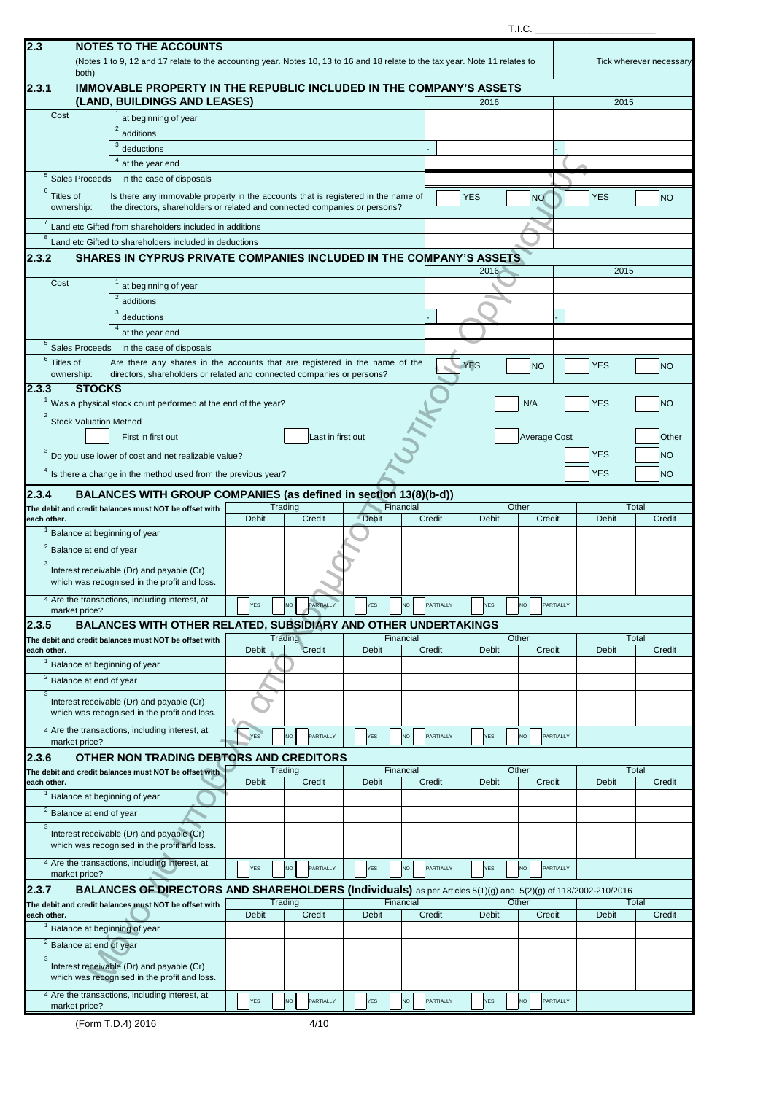|  | ۰, |
|--|----|

|                |                                        |                                                                                                                                                                 |              |                        |              |                  |              | T.I.C. |                     |              |                         |
|----------------|----------------------------------------|-----------------------------------------------------------------------------------------------------------------------------------------------------------------|--------------|------------------------|--------------|------------------|--------------|--------|---------------------|--------------|-------------------------|
| 2.3            |                                        | <b>NOTES TO THE ACCOUNTS</b>                                                                                                                                    |              |                        |              |                  |              |        |                     |              |                         |
|                |                                        | (Notes 1 to 9, 12 and 17 relate to the accounting year. Notes 10, 13 to 16 and 18 relate to the tax year. Note 11 relates to                                    |              |                        |              |                  |              |        |                     |              | Tick wherever necessary |
|                | both)                                  |                                                                                                                                                                 |              |                        |              |                  |              |        |                     |              |                         |
| 2.3.1          |                                        | <b>IMMOVABLE PROPERTY IN THE REPUBLIC INCLUDED IN THE COMPANY'S ASSETS</b>                                                                                      |              |                        |              |                  |              |        |                     |              |                         |
|                |                                        | (LAND, BUILDINGS AND LEASES)                                                                                                                                    |              |                        |              |                  | 2016         |        |                     | 2015         |                         |
| Cost           |                                        | at beginning of year                                                                                                                                            |              |                        |              |                  |              |        |                     |              |                         |
|                |                                        | $\overline{a}$ additions<br>3                                                                                                                                   |              |                        |              |                  |              |        |                     |              |                         |
|                |                                        | deductions                                                                                                                                                      |              |                        |              |                  |              |        |                     |              |                         |
|                |                                        | $4$ at the year end                                                                                                                                             |              |                        |              |                  |              |        |                     |              |                         |
|                | $\frac{5}{5}$ Sales Proceeds           | in the case of disposals                                                                                                                                        |              |                        |              |                  |              |        |                     |              |                         |
| 6<br>Titles of | ownership:                             | Is there any immovable property in the accounts that is registered in the name of<br>the directors, shareholders or related and connected companies or persons? |              |                        |              |                  | <b>YES</b>   |        | <b>NO</b>           | <b>YES</b>   | <b>NO</b>               |
|                |                                        | Land etc Gifted from shareholders included in additions                                                                                                         |              |                        |              |                  |              |        |                     |              |                         |
| 8              |                                        | Land etc Gifted to shareholders included in deductions                                                                                                          |              |                        |              |                  |              |        |                     |              |                         |
| 2.3.2          |                                        | SHARES IN CYPRUS PRIVATE COMPANIES INCLUDED IN THE COMPANY'S ASSETS                                                                                             |              |                        |              |                  |              |        |                     |              |                         |
|                |                                        |                                                                                                                                                                 |              |                        |              |                  | 2016         |        |                     | 2015         |                         |
| Cost           |                                        | at beginning of year                                                                                                                                            |              |                        |              |                  |              |        |                     |              |                         |
|                |                                        | additions                                                                                                                                                       |              |                        |              |                  |              |        |                     |              |                         |
|                |                                        | deductions                                                                                                                                                      |              |                        |              |                  |              |        |                     |              |                         |
|                |                                        | at the year end                                                                                                                                                 |              |                        |              |                  |              |        |                     |              |                         |
|                | $\overline{\frac{5}{}}$ Sales Proceeds | in the case of disposals                                                                                                                                        |              |                        |              |                  |              |        |                     |              |                         |
| $6$ Titles of  |                                        | Are there any shares in the accounts that are registered in the name of the                                                                                     |              |                        |              |                  | <b>YES</b>   |        | <b>NO</b>           | <b>YES</b>   | <b>NO</b>               |
|                | ownership:                             | directors, shareholders or related and connected companies or persons?                                                                                          |              |                        |              |                  |              |        |                     |              |                         |
| 2.3.3          | <b>STOCKS</b>                          |                                                                                                                                                                 |              |                        |              |                  |              |        |                     |              |                         |
|                |                                        | <sup>1</sup> Was a physical stock count performed at the end of the year?                                                                                       |              |                        |              |                  |              |        | N/A                 | <b>YES</b>   | N <sub>O</sub>          |
| $\overline{2}$ | <b>Stock Valuation Method</b>          |                                                                                                                                                                 |              |                        |              |                  |              |        |                     |              |                         |
|                |                                        | First in first out                                                                                                                                              |              | Last in first out      |              |                  |              |        | <b>Average Cost</b> |              | Other                   |
|                |                                        | $3$ Do you use lower of cost and net realizable value?                                                                                                          |              |                        |              |                  |              |        |                     | <b>YES</b>   | <b>NO</b>               |
|                |                                        |                                                                                                                                                                 |              |                        |              |                  |              |        |                     |              |                         |
|                |                                        | $4$ Is there a change in the method used from the previous year?                                                                                                |              |                        |              |                  |              |        |                     | <b>YES</b>   | N <sub>O</sub>          |
| 2.3.4          |                                        | BALANCES WITH GROUP COMPANIES (as defined in section 13(8)(b-d))                                                                                                |              |                        |              |                  |              |        |                     |              |                         |
|                |                                        | The debit and credit balances must NOT be offset with                                                                                                           |              | Trading                |              | Financial        |              | Other  |                     |              | Total                   |
| each other.    |                                        | <sup>1</sup> Balance at beginning of year                                                                                                                       | <b>Debit</b> | Credit                 | <b>Debit</b> | Credit           | Debit        |        | Credit              | Debit        | Credit                  |
|                |                                        |                                                                                                                                                                 |              |                        |              |                  |              |        |                     |              |                         |
| 3              | $\overline{2}$ Balance at end of year  |                                                                                                                                                                 |              |                        |              |                  |              |        |                     |              |                         |
|                |                                        | Interest receivable (Dr) and payable (Cr)                                                                                                                       |              |                        |              |                  |              |        |                     |              |                         |
|                |                                        | which was recognised in the profit and loss.                                                                                                                    |              |                        |              |                  |              |        |                     |              |                         |
|                |                                        | 4 Are the transactions, including interest, at                                                                                                                  | <b>YES</b>   | PARTIALLY<br><b>NO</b> | <b>YES</b>   | NO<br>PARTIALLY  | <b>YES</b>   |        | NO.<br>PARTIALLY    |              |                         |
|                | market price?                          |                                                                                                                                                                 |              |                        |              |                  |              |        |                     |              |                         |
| 2.3.5          |                                        | BALANCES WITH OTHER RELATED, SUBSIDIARY AND OTHER UNDERTAKINGS<br>The debit and credit balances must NOT be offset with                                         |              | Trading                |              | Financial        |              | Other  |                     |              | Total                   |
| each other.    |                                        |                                                                                                                                                                 | <b>Debit</b> | Credit                 | <b>Debit</b> | Credit           | <b>Debit</b> |        | Credit              | <b>Debit</b> | Credit                  |
|                |                                        | <sup>1</sup> Balance at beginning of year                                                                                                                       |              |                        |              |                  |              |        |                     |              |                         |
|                | $\overline{a}$ Balance at end of year  |                                                                                                                                                                 |              |                        |              |                  |              |        |                     |              |                         |
| 3              |                                        |                                                                                                                                                                 |              |                        |              |                  |              |        |                     |              |                         |
|                |                                        | Interest receivable (Dr) and payable (Cr)<br>which was recognised in the profit and loss.                                                                       |              |                        |              |                  |              |        |                     |              |                         |
|                |                                        | 4 Are the transactions, including interest, at                                                                                                                  |              |                        |              |                  |              |        |                     |              |                         |
|                | market price?                          |                                                                                                                                                                 | YES          | PARTIALLY<br>NO        | <b>YES</b>   | PARTIALLY<br>NO  | YES          |        | PARTIALLY<br>NO     |              |                         |
| 2.3.6          |                                        | OTHER NON TRADING DEBTORS AND CREDITORS                                                                                                                         |              |                        |              |                  |              |        |                     |              |                         |
|                |                                        | The debit and credit balances must NOT be offset with                                                                                                           |              | Trading                |              | Financial        |              | Other  |                     |              | Total                   |
| each other.    |                                        |                                                                                                                                                                 | <b>Debit</b> | Credit                 | Debit        | Credit           | Debit        |        | Credit              | Debit        | Credit                  |
|                |                                        | <sup>1</sup> Balance at beginning of year                                                                                                                       |              |                        |              |                  |              |        |                     |              |                         |
|                | $\overline{2}$ Balance at end of year  |                                                                                                                                                                 |              |                        |              |                  |              |        |                     |              |                         |
| $\overline{3}$ |                                        | Interest receivable (Dr) and payable (Cr)                                                                                                                       |              |                        |              |                  |              |        |                     |              |                         |
|                |                                        | which was recognised in the profit and loss.                                                                                                                    |              |                        |              |                  |              |        |                     |              |                         |
|                |                                        | 4 Are the transactions, including interest, at                                                                                                                  |              |                        |              |                  |              |        |                     |              |                         |
|                | market price?                          |                                                                                                                                                                 | YES          | NO<br>PARTIALLY        | <b>YES</b>   | PARTIALLY<br>NO  | YES          |        | PARTIALLY<br>VO     |              |                         |
| 2.3.7          |                                        | BALANCES OF DIRECTORS AND SHAREHOLDERS (Individuals) as per Articles 5(1)(g) and 5(2)(g) of 118/2002-210/2016                                                   |              |                        |              |                  |              |        |                     |              |                         |
|                |                                        | The debit and credit balances must NOT be offset with                                                                                                           |              | Trading                |              | Financial        |              | Other  |                     |              | Total                   |
| each other.    |                                        |                                                                                                                                                                 | <b>Debit</b> | Credit                 | <b>Debit</b> | Credit           | <b>Debit</b> |        | Credit              | Debit        | Credit                  |
|                |                                        | Balance at beginning of year                                                                                                                                    |              |                        |              |                  |              |        |                     |              |                         |
|                | <sup>2</sup> Balance at end of year    |                                                                                                                                                                 |              |                        |              |                  |              |        |                     |              |                         |
| 3              |                                        | Interest receivable (Dr) and payable (Cr)                                                                                                                       |              |                        |              |                  |              |        |                     |              |                         |
|                |                                        | which was recognised in the profit and loss.                                                                                                                    |              |                        |              |                  |              |        |                     |              |                         |
|                |                                        | 4 Are the transactions, including interest, at                                                                                                                  | <b>YES</b>   | PARTIALLY<br>NO        | <b>YES</b>   | PARTIALLY<br>NO. | <b>YES</b>   |        | PARTIALLY<br>NO.    |              |                         |
|                | market price?                          |                                                                                                                                                                 |              |                        |              |                  |              |        |                     |              |                         |

(Form T.D.4) 2016 4/10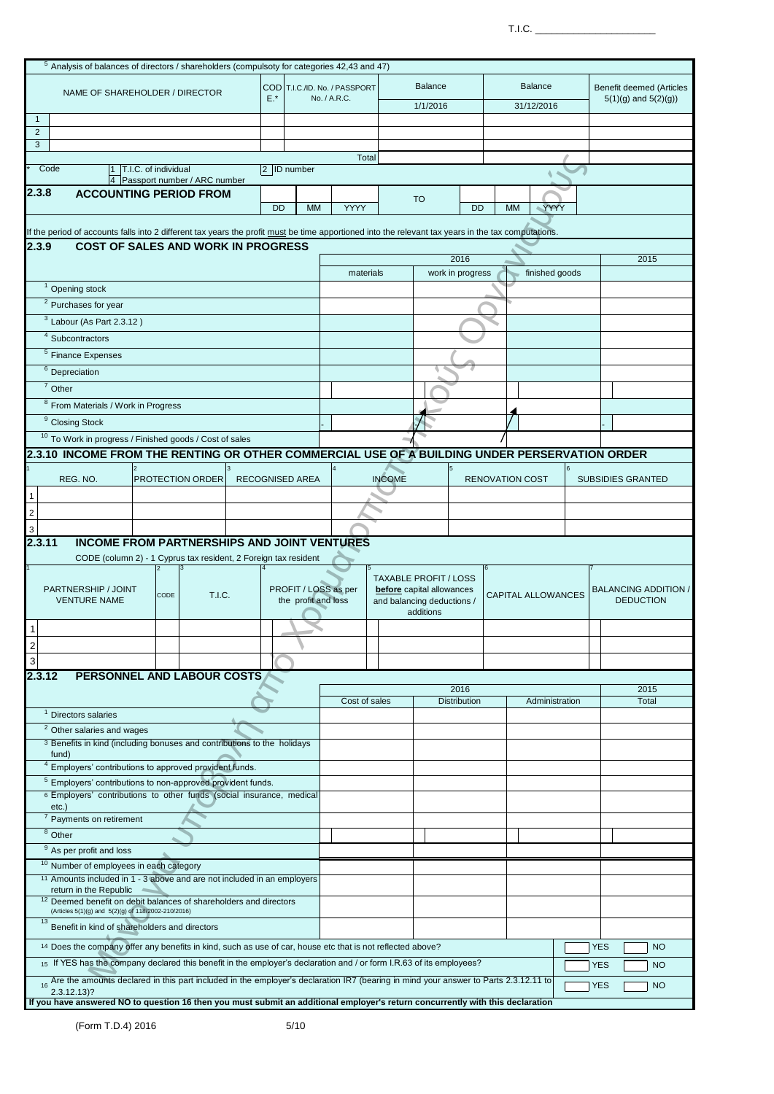$T.I.C.$ 

|                                |                                                                                                                                                     | $5$ Analysis of balances of directors / shareholders (compulsoty for categories 42,43 and 47) |               |                        |           |                                               |               |                              |                     |                           |            |                                                     |
|--------------------------------|-----------------------------------------------------------------------------------------------------------------------------------------------------|-----------------------------------------------------------------------------------------------|---------------|------------------------|-----------|-----------------------------------------------|---------------|------------------------------|---------------------|---------------------------|------------|-----------------------------------------------------|
|                                |                                                                                                                                                     |                                                                                               |               |                        |           |                                               |               |                              |                     |                           |            |                                                     |
|                                |                                                                                                                                                     | NAME OF SHAREHOLDER / DIRECTOR                                                                |               | $E.*$                  |           | COD T.I.C./ID. No. / PASSPORT<br>No. / A.R.C. |               | <b>Balance</b>               |                     | <b>Balance</b>            |            | Benefit deemed (Articles<br>$5(1)(q)$ and $5(2)(q)$ |
|                                |                                                                                                                                                     |                                                                                               |               |                        |           |                                               |               | 1/1/2016                     |                     | 31/12/2016                |            |                                                     |
| $\mathbf{1}$<br>$\overline{2}$ |                                                                                                                                                     |                                                                                               |               |                        |           |                                               |               |                              |                     |                           |            |                                                     |
| 3                              |                                                                                                                                                     |                                                                                               |               |                        |           |                                               |               |                              |                     |                           |            |                                                     |
|                                |                                                                                                                                                     |                                                                                               |               |                        |           |                                               | Total         |                              |                     |                           |            |                                                     |
|                                | Code<br>11.                                                                                                                                         | T.I.C. of individual                                                                          |               | 2 ID number            |           |                                               |               |                              |                     |                           |            |                                                     |
| 2.3.8                          |                                                                                                                                                     | 4 Passport number / ARC number<br><b>ACCOUNTING PERIOD FROM</b>                               |               |                        |           |                                               |               |                              |                     |                           |            |                                                     |
|                                |                                                                                                                                                     |                                                                                               |               | <b>DD</b>              | <b>MM</b> | <b>YYYY</b>                                   |               | <b>TO</b>                    | <b>DD</b>           | YYYY<br><b>MM</b>         |            |                                                     |
|                                |                                                                                                                                                     |                                                                                               |               |                        |           |                                               |               |                              |                     |                           |            |                                                     |
|                                | If the period of accounts falls into 2 different tax years the profit must be time apportioned into the relevant tax years in the tax computations. |                                                                                               |               |                        |           |                                               |               |                              |                     |                           |            |                                                     |
| 2.3.9                          |                                                                                                                                                     | <b>COST OF SALES AND WORK IN PROGRESS</b>                                                     |               |                        |           |                                               |               |                              |                     |                           |            |                                                     |
|                                |                                                                                                                                                     |                                                                                               |               |                        |           |                                               |               |                              | 2016                |                           |            | 2015                                                |
|                                |                                                                                                                                                     |                                                                                               |               |                        |           |                                               | materials     |                              | work in progress    | finished goods            |            |                                                     |
|                                | <sup>1</sup> Opening stock                                                                                                                          |                                                                                               |               |                        |           |                                               |               |                              |                     |                           |            |                                                     |
|                                | $\frac{2}{3}$ Purchases for year                                                                                                                    |                                                                                               |               |                        |           |                                               |               |                              |                     |                           |            |                                                     |
|                                | $\overline{3}$ Labour (As Part 2.3.12)                                                                                                              |                                                                                               |               |                        |           |                                               |               |                              |                     |                           |            |                                                     |
|                                | $4$ Subcontractors                                                                                                                                  |                                                                                               |               |                        |           |                                               |               |                              |                     |                           |            |                                                     |
|                                | $5$ Finance Expenses                                                                                                                                |                                                                                               |               |                        |           |                                               |               |                              |                     |                           |            |                                                     |
|                                | $6$ Depreciation                                                                                                                                    |                                                                                               |               |                        |           |                                               |               |                              |                     |                           |            |                                                     |
|                                | $7$ Other                                                                                                                                           |                                                                                               |               |                        |           |                                               |               |                              |                     |                           |            |                                                     |
|                                | <sup>8</sup> From Materials / Work in Progress                                                                                                      |                                                                                               |               |                        |           |                                               |               |                              |                     |                           |            |                                                     |
|                                | <sup>9</sup> Closing Stock                                                                                                                          |                                                                                               |               |                        |           |                                               |               |                              |                     |                           |            |                                                     |
|                                | <sup>10</sup> To Work in progress / Finished goods / Cost of sales                                                                                  |                                                                                               |               |                        |           |                                               |               |                              |                     |                           |            |                                                     |
|                                | 2.3.10 INCOME FROM THE RENTING OR OTHER COMMERCIAL USE OF A BUILDING UNDER PERSERVATION ORDER                                                       |                                                                                               |               |                        |           |                                               |               |                              |                     |                           |            |                                                     |
|                                |                                                                                                                                                     |                                                                                               |               |                        |           |                                               |               |                              |                     |                           |            |                                                     |
|                                | REG. NO.                                                                                                                                            | <b>PROTECTION ORDER</b>                                                                       |               | <b>RECOGNISED AREA</b> |           |                                               | <b>INCOME</b> |                              |                     | <b>RENOVATION COST</b>    |            | <b>SUBSIDIES GRANTED</b>                            |
|                                |                                                                                                                                                     |                                                                                               |               |                        |           |                                               |               |                              |                     |                           |            |                                                     |
| $\sqrt{2}$                     |                                                                                                                                                     |                                                                                               |               |                        |           |                                               |               |                              |                     |                           |            |                                                     |
| 3                              |                                                                                                                                                     |                                                                                               |               |                        |           |                                               |               |                              |                     |                           |            |                                                     |
|                                | 2.3.11                                                                                                                                              | <b>INCOME FROM PARTNERSHIPS AND JOINT VENTURES</b>                                            |               |                        |           |                                               |               |                              |                     |                           |            |                                                     |
|                                |                                                                                                                                                     | CODE (column 2) - 1 Cyprus tax resident, 2 Foreign tax resident                               |               |                        |           |                                               |               |                              |                     |                           |            |                                                     |
|                                |                                                                                                                                                     |                                                                                               |               |                        |           |                                               |               | <b>TAXABLE PROFIT / LOSS</b> |                     |                           |            |                                                     |
|                                | PARTNERSHIP / JOINT                                                                                                                                 | CODE                                                                                          | <b>T.I.C.</b> |                        |           | PROFIT / LOSS as per                          |               | before capital allowances    |                     | <b>CAPITAL ALLOWANCES</b> |            | <b>BALANCING ADDITION /</b>                         |
|                                | <b>VENTURE NAME</b>                                                                                                                                 |                                                                                               |               |                        |           | the profit and loss                           |               | and balancing deductions /   |                     |                           |            | <b>DEDUCTION</b>                                    |
|                                |                                                                                                                                                     |                                                                                               |               |                        |           |                                               |               | additions                    |                     |                           |            |                                                     |
| 1                              |                                                                                                                                                     |                                                                                               |               |                        |           |                                               |               |                              |                     |                           |            |                                                     |
| $\overline{\mathbf{c}}$        |                                                                                                                                                     |                                                                                               |               |                        |           |                                               |               |                              |                     |                           |            |                                                     |
| 3                              |                                                                                                                                                     |                                                                                               |               |                        |           |                                               |               |                              |                     |                           |            |                                                     |
|                                | 2.3.12                                                                                                                                              | PERSONNEL AND LABOUR COSTS                                                                    |               |                        |           |                                               |               |                              | 2016                |                           |            | 2015                                                |
|                                |                                                                                                                                                     |                                                                                               |               |                        |           |                                               | Cost of sales |                              | <b>Distribution</b> | Administration            |            | Total                                               |
|                                | <sup>1</sup> Directors salaries                                                                                                                     |                                                                                               |               |                        |           |                                               |               |                              |                     |                           |            |                                                     |
|                                | <sup>2</sup> Other salaries and wages                                                                                                               |                                                                                               |               |                        |           |                                               |               |                              |                     |                           |            |                                                     |
|                                |                                                                                                                                                     | 3 Benefits in kind (including bonuses and contributions to the holidays                       |               |                        |           |                                               |               |                              |                     |                           |            |                                                     |
|                                | fund)                                                                                                                                               | <sup>4</sup> Employers' contributions to approved provident funds.                            |               |                        |           |                                               |               |                              |                     |                           |            |                                                     |
|                                |                                                                                                                                                     | <sup>5</sup> Employers' contributions to non-approved provident funds.                        |               |                        |           |                                               |               |                              |                     |                           |            |                                                     |
|                                |                                                                                                                                                     | <sup>6</sup> Employers' contributions to other funds (social insurance, medical               |               |                        |           |                                               |               |                              |                     |                           |            |                                                     |
|                                | $etc.$ )                                                                                                                                            |                                                                                               |               |                        |           |                                               |               |                              |                     |                           |            |                                                     |
|                                | <sup>7</sup> Payments on retirement                                                                                                                 |                                                                                               |               |                        |           |                                               |               |                              |                     |                           |            |                                                     |
|                                | $8$ Other                                                                                                                                           |                                                                                               |               |                        |           |                                               |               |                              |                     |                           |            |                                                     |
|                                | <sup>9</sup> As per profit and loss                                                                                                                 |                                                                                               |               |                        |           |                                               |               |                              |                     |                           |            |                                                     |
|                                | <sup>10</sup> Number of employees in each category                                                                                                  |                                                                                               |               |                        |           |                                               |               |                              |                     |                           |            |                                                     |
|                                | <sup>11</sup> Amounts included in 1 - 3 above and are not included in an employers<br>return in the Republic                                        |                                                                                               |               |                        |           |                                               |               |                              |                     |                           |            |                                                     |
|                                | <sup>12</sup> Deemed benefit on debit balances of shareholders and directors                                                                        |                                                                                               |               |                        |           |                                               |               |                              |                     |                           |            |                                                     |
|                                | (Articles 5(1)(g) and 5(2)(g) of 118/2002-210/2016)<br>13                                                                                           |                                                                                               |               |                        |           |                                               |               |                              |                     |                           |            |                                                     |
|                                |                                                                                                                                                     | Benefit in kind of shareholders and directors                                                 |               |                        |           |                                               |               |                              |                     |                           |            |                                                     |
|                                | <sup>14</sup> Does the company offer any benefits in kind, such as use of car, house etc that is not reflected above?                               |                                                                                               |               |                        |           |                                               |               |                              |                     |                           | <b>YES</b> | <b>NO</b>                                           |
|                                | 15 If YES has the company declared this benefit in the employer's declaration and / or form I.R.63 of its employees?                                |                                                                                               |               |                        |           |                                               |               |                              |                     |                           | <b>YES</b> | <b>NO</b>                                           |
|                                | 16 Are the amounts declared in this part included in the employer's declaration IR7 (bearing in mind your answer to Parts 2.3.12.11 to              |                                                                                               |               |                        |           |                                               |               |                              |                     |                           | <b>YES</b> | <b>NO</b>                                           |
|                                | $2.3.12.13$ ?                                                                                                                                       |                                                                                               |               |                        |           |                                               |               |                              |                     |                           |            |                                                     |
|                                | If you have answered NO to question 16 then you must submit an additional employer's return concurrently with this declaration                      |                                                                                               |               |                        |           |                                               |               |                              |                     |                           |            |                                                     |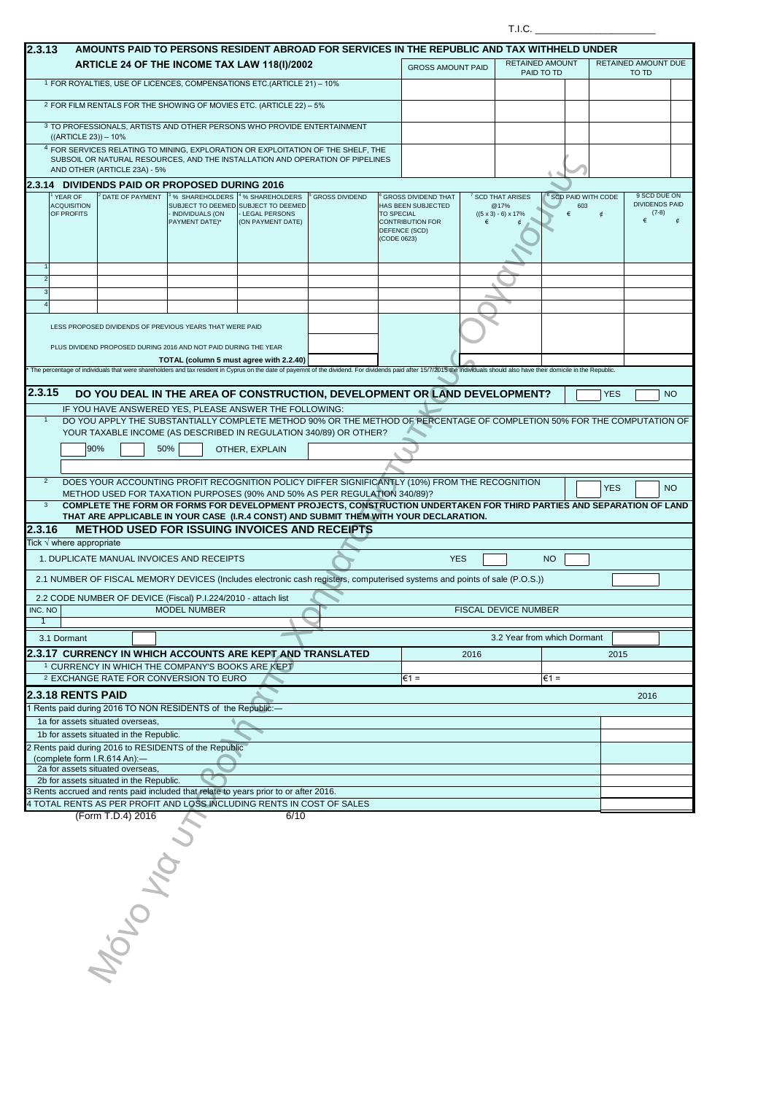|                     |                                             |                                                                             |                                                                                                                             |                                                                                                            |                                                                                                                                                                                                                             |                                  |                                                                                              |      | T.I.C.                                                             |                |                                             |            |                              |                                                  |
|---------------------|---------------------------------------------|-----------------------------------------------------------------------------|-----------------------------------------------------------------------------------------------------------------------------|------------------------------------------------------------------------------------------------------------|-----------------------------------------------------------------------------------------------------------------------------------------------------------------------------------------------------------------------------|----------------------------------|----------------------------------------------------------------------------------------------|------|--------------------------------------------------------------------|----------------|---------------------------------------------|------------|------------------------------|--------------------------------------------------|
| 2.3.13              |                                             |                                                                             |                                                                                                                             |                                                                                                            | AMOUNTS PAID TO PERSONS RESIDENT ABROAD FOR SERVICES IN THE REPUBLIC AND TAX WITHHELD UNDER                                                                                                                                 |                                  |                                                                                              |      |                                                                    |                |                                             |            |                              |                                                  |
|                     |                                             |                                                                             | ARTICLE 24 OF THE INCOME TAX LAW 118(I)/2002                                                                                |                                                                                                            |                                                                                                                                                                                                                             |                                  | <b>GROSS AMOUNT PAID</b>                                                                     |      | <b>RETAINED AMOUNT</b>                                             | PAID TO TD     |                                             |            | RETAINED AMOUNT DUE<br>TO TD |                                                  |
|                     |                                             |                                                                             | 1 FOR ROYALTIES, USE OF LICENCES, COMPENSATIONS ETC.(ARTICLE 21) - 10%                                                      |                                                                                                            |                                                                                                                                                                                                                             |                                  |                                                                                              |      |                                                                    |                |                                             |            |                              |                                                  |
|                     |                                             |                                                                             | <sup>2</sup> FOR FILM RENTALS FOR THE SHOWING OF MOVIES ETC. (ARTICLE 22) - 5%                                              |                                                                                                            |                                                                                                                                                                                                                             |                                  |                                                                                              |      |                                                                    |                |                                             |            |                              |                                                  |
|                     | $((ARTICLE 23)) - 10\%$                     |                                                                             | 3 TO PROFESSIONALS, ARTISTS AND OTHER PERSONS WHO PROVIDE ENTERTAINMENT                                                     |                                                                                                            |                                                                                                                                                                                                                             |                                  |                                                                                              |      |                                                                    |                |                                             |            |                              |                                                  |
|                     |                                             | AND OTHER (ARTICLE 23A) - 5%                                                |                                                                                                                             |                                                                                                            | <sup>4</sup> FOR SERVICES RELATING TO MINING, EXPLORATION OR EXPLOITATION OF THE SHELF, THE<br>SUBSOIL OR NATURAL RESOURCES, AND THE INSTALLATION AND OPERATION OF PIPELINES                                                |                                  |                                                                                              |      |                                                                    |                |                                             |            |                              |                                                  |
|                     |                                             |                                                                             | 2.3.14 DIVIDENDS PAID OR PROPOSED DURING 2016                                                                               |                                                                                                            |                                                                                                                                                                                                                             |                                  |                                                                                              |      |                                                                    |                |                                             |            |                              |                                                  |
|                     | YEAR OF<br><b>ACQUISITION</b><br>OF PROFITS | DATE OF PAYMENT                                                             | <sup>3</sup> % SHAREHOLDERS<br>- INDIVIDUALS (ON<br>PAYMENT DATE)*                                                          | <sup>4</sup> % SHAREHOLDERS<br>SUBJECT TO DEEMED SUBJECT TO DEEMED<br>- LEGAL PERSONS<br>(ON PAYMENT DATE) | <b>GROSS DIVIDEND</b>                                                                                                                                                                                                       | <b>TO SPECIAL</b><br>(CODE 0623) | <b>GROSS DIVIDEND THAT</b><br>HAS BEEN SUBJECTED<br><b>CONTRIBUTION FOR</b><br>DEFENCE (SCD) | €    | <b>SCD THAT ARISES</b><br>@17%<br>$((5 \times 3) - 6) \times 17\%$ |                | <sup>8</sup> SCD PAID WITH CODE<br>603<br>€ |            | €                            | 9 SCD DUE ON<br><b>DIVIDENDS PAID</b><br>$(7-8)$ |
|                     |                                             |                                                                             |                                                                                                                             |                                                                                                            |                                                                                                                                                                                                                             |                                  |                                                                                              |      |                                                                    |                |                                             |            |                              |                                                  |
| $\overline{2}$<br>3 |                                             |                                                                             |                                                                                                                             |                                                                                                            |                                                                                                                                                                                                                             |                                  |                                                                                              |      |                                                                    |                |                                             |            |                              |                                                  |
|                     |                                             |                                                                             |                                                                                                                             |                                                                                                            |                                                                                                                                                                                                                             |                                  |                                                                                              |      |                                                                    |                |                                             |            |                              |                                                  |
|                     |                                             |                                                                             | LESS PROPOSED DIVIDENDS OF PREVIOUS YEARS THAT WERE PAID<br>PLUS DIVIDEND PROPOSED DURING 2016 AND NOT PAID DURING THE YEAR |                                                                                                            |                                                                                                                                                                                                                             |                                  |                                                                                              |      |                                                                    |                |                                             |            |                              |                                                  |
|                     |                                             |                                                                             | TOTAL (column 5 must agree with 2.2.40)                                                                                     |                                                                                                            | The percentage of individuals that were shareholders and tax resident in Cyprus on the date of payemnt of the dividend. For dividends paid after 15/7/2015 the individuals should also have their domicile in the Republic. |                                  |                                                                                              |      |                                                                    |                |                                             |            |                              |                                                  |
|                     |                                             |                                                                             |                                                                                                                             |                                                                                                            |                                                                                                                                                                                                                             |                                  |                                                                                              |      |                                                                    |                |                                             |            |                              |                                                  |
| 2.3.15              |                                             |                                                                             |                                                                                                                             |                                                                                                            | DO YOU DEAL IN THE AREA OF CONSTRUCTION, DEVELOPMENT OR LAND DEVELOPMENT?                                                                                                                                                   |                                  |                                                                                              |      |                                                                    |                |                                             | <b>YES</b> |                              | <b>NO</b>                                        |
| $\overline{1}$      |                                             |                                                                             | IF YOU HAVE ANSWERED YES, PLEASE ANSWER THE FOLLOWING:                                                                      |                                                                                                            | DO YOU APPLY THE SUBSTANTIALLY COMPLETE METHOD 90% OR THE METHOD OF PERCENTAGE OF COMPLETION 50% FOR THE COMPUTATION OF<br>YOUR TAXABLE INCOME (AS DESCRIBED IN REGULATION 340/89) OR OTHER?                                |                                  |                                                                                              |      |                                                                    |                |                                             |            |                              |                                                  |
|                     | 90%                                         |                                                                             | 50%                                                                                                                         | OTHER, EXPLAIN                                                                                             |                                                                                                                                                                                                                             |                                  |                                                                                              |      |                                                                    |                |                                             |            |                              |                                                  |
| $\overline{2}$      |                                             |                                                                             |                                                                                                                             |                                                                                                            | DOES YOUR ACCOUNTING PROFIT RECOGNITION POLICY DIFFER SIGNIFICANTLY (10%) FROM THE RECOGNITION<br>METHOD USED FOR TAXATION PURPOSES (90% AND 50% AS PER REGULATION 340/89)?                                                 |                                  |                                                                                              |      |                                                                    |                |                                             | <b>YES</b> |                              | NO <sub>1</sub>                                  |
| 3                   |                                             |                                                                             |                                                                                                                             |                                                                                                            | COMPLETE THE FORM OR FORMS FOR DEVELOPMENT PROJECTS, CONSTRUCTION UNDERTAKEN FOR THIRD PARTIES AND SEPARATION OF LAND<br>THAT ARE APPLICABLE IN YOUR CASE (I.R.4 CONST) AND SUBMIT THEM WITH YOUR DECLARATION.              |                                  |                                                                                              |      |                                                                    |                |                                             |            |                              |                                                  |
| 2.3.16              |                                             |                                                                             | <b>METHOD USED FOR ISSUING INVOICES AND RECEIPTS</b>                                                                        |                                                                                                            |                                                                                                                                                                                                                             |                                  |                                                                                              |      |                                                                    |                |                                             |            |                              |                                                  |
|                     | Tick $\sqrt{}$ where appropriate            |                                                                             |                                                                                                                             |                                                                                                            |                                                                                                                                                                                                                             |                                  |                                                                                              |      |                                                                    |                |                                             |            |                              |                                                  |
|                     |                                             |                                                                             | 1. DUPLICATE MANUAL INVOICES AND RECEIPTS                                                                                   |                                                                                                            |                                                                                                                                                                                                                             |                                  | <b>YES</b>                                                                                   |      |                                                                    | <b>NO</b>      |                                             |            |                              |                                                  |
|                     |                                             |                                                                             |                                                                                                                             |                                                                                                            | 2.1 NUMBER OF FISCAL MEMORY DEVICES (Includes electronic cash registers, computerised systems and points of sale (P.O.S.))                                                                                                  |                                  |                                                                                              |      |                                                                    |                |                                             |            |                              |                                                  |
|                     |                                             |                                                                             |                                                                                                                             |                                                                                                            |                                                                                                                                                                                                                             |                                  |                                                                                              |      |                                                                    |                |                                             |            |                              |                                                  |
| INC. NO             |                                             |                                                                             | 2.2 CODE NUMBER OF DEVICE (Fiscal) P.I.224/2010 - attach list<br><b>MODEL NUMBER</b>                                        |                                                                                                            |                                                                                                                                                                                                                             |                                  |                                                                                              |      | FISCAL DEVICE NUMBER                                               |                |                                             |            |                              |                                                  |
| $\mathbf{1}$        |                                             |                                                                             |                                                                                                                             |                                                                                                            |                                                                                                                                                                                                                             |                                  |                                                                                              |      |                                                                    |                |                                             |            |                              |                                                  |
|                     | 3.1 Dormant                                 |                                                                             |                                                                                                                             |                                                                                                            |                                                                                                                                                                                                                             |                                  |                                                                                              |      | 3.2 Year from which Dormant                                        |                |                                             |            |                              |                                                  |
|                     |                                             |                                                                             | 2.3.17 CURRENCY IN WHICH ACCOUNTS ARE KEPT AND TRANSLATED                                                                   |                                                                                                            |                                                                                                                                                                                                                             |                                  |                                                                                              | 2016 |                                                                    |                |                                             | 2015       |                              |                                                  |
|                     |                                             |                                                                             | <sup>1</sup> CURRENCY IN WHICH THE COMPANY'S BOOKS ARE KEPT                                                                 |                                                                                                            |                                                                                                                                                                                                                             |                                  |                                                                                              |      |                                                                    |                |                                             |            |                              |                                                  |
|                     |                                             |                                                                             | 2 EXCHANGE RATE FOR CONVERSION TO EURO                                                                                      |                                                                                                            |                                                                                                                                                                                                                             |                                  | $\epsilon$ 1 =                                                                               |      |                                                                    | $\epsilon$ 1 = |                                             |            |                              |                                                  |
|                     | <b>2.3.18 RENTS PAID</b>                    |                                                                             | 1 Rents paid during 2016 TO NON RESIDENTS of the Republic:-                                                                 |                                                                                                            |                                                                                                                                                                                                                             |                                  |                                                                                              |      |                                                                    |                |                                             |            | 2016                         |                                                  |
|                     |                                             | 1a for assets situated overseas,                                            |                                                                                                                             |                                                                                                            |                                                                                                                                                                                                                             |                                  |                                                                                              |      |                                                                    |                |                                             |            |                              |                                                  |
|                     |                                             | 1b for assets situated in the Republic.                                     |                                                                                                                             |                                                                                                            |                                                                                                                                                                                                                             |                                  |                                                                                              |      |                                                                    |                |                                             |            |                              |                                                  |
|                     |                                             | (complete form I.R.614 An):-                                                | 2 Rents paid during 2016 to RESIDENTS of the Republic                                                                       |                                                                                                            |                                                                                                                                                                                                                             |                                  |                                                                                              |      |                                                                    |                |                                             |            |                              |                                                  |
|                     |                                             | 2a for assets situated overseas,<br>2b for assets situated in the Republic. |                                                                                                                             |                                                                                                            |                                                                                                                                                                                                                             |                                  |                                                                                              |      |                                                                    |                |                                             |            |                              |                                                  |
|                     |                                             |                                                                             | 3 Rents accrued and rents paid included that relate to years prior to or after 2016.                                        |                                                                                                            |                                                                                                                                                                                                                             |                                  |                                                                                              |      |                                                                    |                |                                             |            |                              |                                                  |
|                     |                                             |                                                                             | 4 TOTAL RENTS AS PER PROFIT AND LOSS INCLUDING RENTS IN COST OF SALES                                                       |                                                                                                            |                                                                                                                                                                                                                             |                                  |                                                                                              |      |                                                                    |                |                                             |            |                              |                                                  |
|                     |                                             | (Form T.D.4) 2016                                                           |                                                                                                                             | 6/10                                                                                                       |                                                                                                                                                                                                                             |                                  |                                                                                              |      |                                                                    |                |                                             |            |                              |                                                  |
|                     |                                             |                                                                             |                                                                                                                             |                                                                                                            |                                                                                                                                                                                                                             |                                  |                                                                                              |      |                                                                    |                |                                             |            |                              |                                                  |

Μόνο για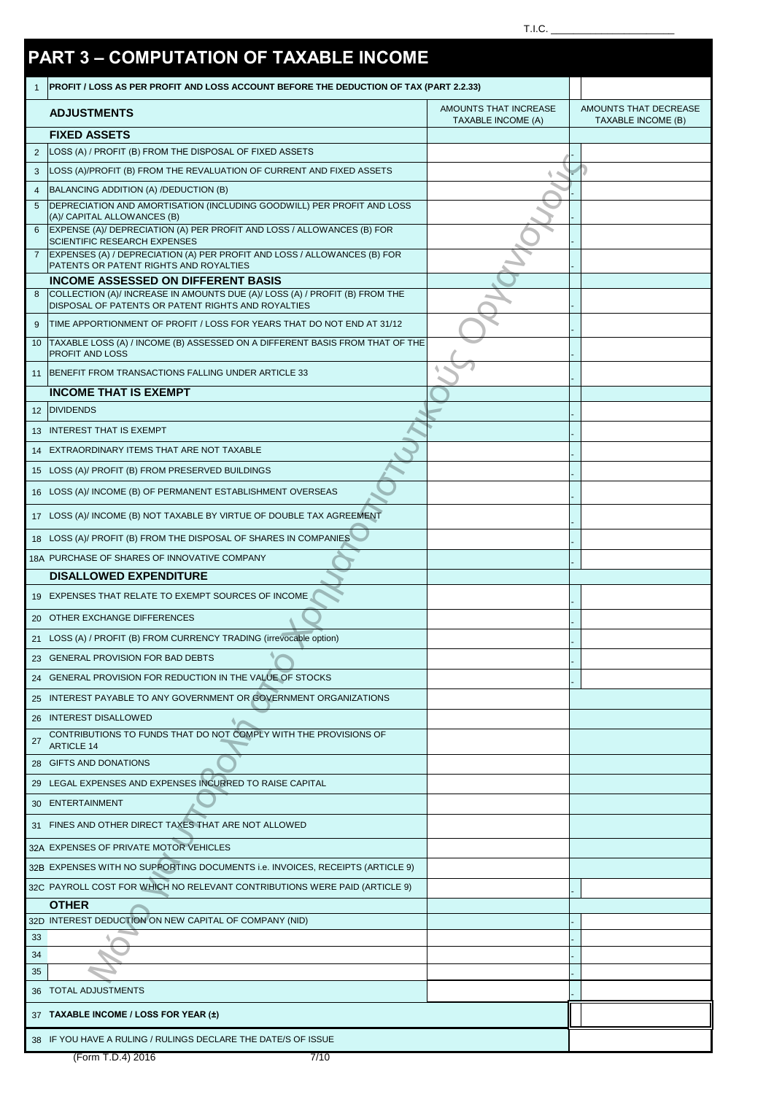|              |                                                                                                                                   | T.I.C.                |                           |
|--------------|-----------------------------------------------------------------------------------------------------------------------------------|-----------------------|---------------------------|
|              |                                                                                                                                   |                       |                           |
|              | <b>PART 3 - COMPUTATION OF TAXABLE INCOME</b>                                                                                     |                       |                           |
| $\mathbf{1}$ | PROFIT / LOSS AS PER PROFIT AND LOSS ACCOUNT BEFORE THE DEDUCTION OF TAX (PART 2.2.33)                                            |                       |                           |
|              | <b>ADJUSTMENTS</b>                                                                                                                | AMOUNTS THAT INCREASE | AMOUNTS THAT DECREASE     |
|              |                                                                                                                                   | TAXABLE INCOME (A)    | <b>TAXABLE INCOME (B)</b> |
| 2            | <b>FIXED ASSETS</b><br>LOSS (A) / PROFIT (B) FROM THE DISPOSAL OF FIXED ASSETS                                                    |                       |                           |
| 3            | LOSS (A)/PROFIT (B) FROM THE REVALUATION OF CURRENT AND FIXED ASSETS                                                              |                       |                           |
| 4            | BALANCING ADDITION (A) /DEDUCTION (B)                                                                                             |                       |                           |
| 5            | DEPRECIATION AND AMORTISATION (INCLUDING GOODWILL) PER PROFIT AND LOSS                                                            |                       |                           |
| 6            | (A)/ CAPITAL ALLOWANCES (B)<br>EXPENSE (A)/ DEPRECIATION (A) PER PROFIT AND LOSS / ALLOWANCES (B) FOR                             |                       |                           |
|              | SCIENTIFIC RESEARCH EXPENSES                                                                                                      |                       |                           |
|              | EXPENSES (A) / DEPRECIATION (A) PER PROFIT AND LOSS / ALLOWANCES (B) FOR<br>PATENTS OR PATENT RIGHTS AND ROYALTIES                |                       |                           |
|              | <b>INCOME ASSESSED ON DIFFERENT BASIS</b>                                                                                         |                       |                           |
| 8            | COLLECTION (A)/ INCREASE IN AMOUNTS DUE (A)/ LOSS (A) / PROFIT (B) FROM THE<br>DISPOSAL OF PATENTS OR PATENT RIGHTS AND ROYALTIES |                       |                           |
| 9            | TIME APPORTIONMENT OF PROFIT / LOSS FOR YEARS THAT DO NOT END AT 31/12                                                            |                       |                           |
| 10           | TAXABLE LOSS (A) / INCOME (B) ASSESSED ON A DIFFERENT BASIS FROM THAT OF THE                                                      |                       |                           |
|              | PROFIT AND LOSS                                                                                                                   |                       |                           |
| 11           | BENEFIT FROM TRANSACTIONS FALLING UNDER ARTICLE 33                                                                                |                       |                           |
|              | <b>INCOME THAT IS EXEMPT</b>                                                                                                      |                       |                           |
|              | 12 DIVIDENDS                                                                                                                      |                       |                           |
|              | 13 INTEREST THAT IS EXEMPT                                                                                                        |                       |                           |
|              | 14 EXTRAORDINARY ITEMS THAT ARE NOT TAXABLE                                                                                       |                       |                           |
|              | 15 LOSS (A)/ PROFIT (B) FROM PRESERVED BUILDINGS                                                                                  |                       |                           |
|              | 16 LOSS (A)/ INCOME (B) OF PERMANENT ESTABLISHMENT OVERSEAS                                                                       |                       |                           |
|              | 17 LOSS (A)/ INCOME (B) NOT TAXABLE BY VIRTUE OF DOUBLE TAX AGREEMENT                                                             |                       |                           |
|              | 18 LOSS (A)/ PROFIT (B) FROM THE DISPOSAL OF SHARES IN COMPANIES                                                                  |                       |                           |
|              | 18A PURCHASE OF SHARES OF INNOVATIVE COMPANY                                                                                      |                       |                           |
|              | <b>DISALLOWED EXPENDITURE</b>                                                                                                     |                       |                           |
|              | 19 EXPENSES THAT RELATE TO EXEMPT SOURCES OF INCOME                                                                               |                       |                           |
|              | 20 OTHER EXCHANGE DIFFERENCES                                                                                                     |                       |                           |
|              | 21 LOSS (A) / PROFIT (B) FROM CURRENCY TRADING (irrevocable option)                                                               |                       |                           |
|              | 23 GENERAL PROVISION FOR BAD DEBTS                                                                                                |                       |                           |
|              | 24 GENERAL PROVISION FOR REDUCTION IN THE VALUE OF STOCKS                                                                         |                       |                           |
|              | 25 INTEREST PAYABLE TO ANY GOVERNMENT OR GOVERNMENT ORGANIZATIONS                                                                 |                       |                           |
|              | 26 INTEREST DISALLOWED                                                                                                            |                       |                           |
|              | CONTRIBUTIONS TO FUNDS THAT DO NOT COMPLY WITH THE PROVISIONS OF                                                                  |                       |                           |
| 27           | <b>ARTICLE 14</b>                                                                                                                 |                       |                           |
|              | 28 GIFTS AND DONATIONS                                                                                                            |                       |                           |
|              | 29 LEGAL EXPENSES AND EXPENSES INCURRED TO RAISE CAPITAL                                                                          |                       |                           |
|              | 30 ENTERTAINMENT                                                                                                                  |                       |                           |
|              | 31 FINES AND OTHER DIRECT TAXES THAT ARE NOT ALLOWED                                                                              |                       |                           |
|              | 32A EXPENSES OF PRIVATE MOTOR VEHICLES                                                                                            |                       |                           |
|              | 32B EXPENSES WITH NO SUPPORTING DOCUMENTS i.e. INVOICES, RECEIPTS (ARTICLE 9)                                                     |                       |                           |
|              | 32C PAYROLL COST FOR WHICH NO RELEVANT CONTRIBUTIONS WERE PAID (ARTICLE 9)                                                        |                       |                           |
|              | <b>OTHER</b>                                                                                                                      |                       |                           |
|              | 32D INTEREST DEDUCTION ON NEW CAPITAL OF COMPANY (NID)                                                                            |                       |                           |
| 33           |                                                                                                                                   |                       |                           |
| 34<br>35     |                                                                                                                                   |                       |                           |
|              | 36 TOTAL ADJUSTMENTS                                                                                                              |                       |                           |
|              |                                                                                                                                   |                       |                           |
|              | 37 TAXABLE INCOME / LOSS FOR YEAR (±)                                                                                             |                       |                           |
|              | 38 IF YOU HAVE A RULING / RULINGS DECLARE THE DATE/S OF ISSUE                                                                     |                       |                           |
|              | (Form T.D.4) 2016<br>7/10                                                                                                         |                       |                           |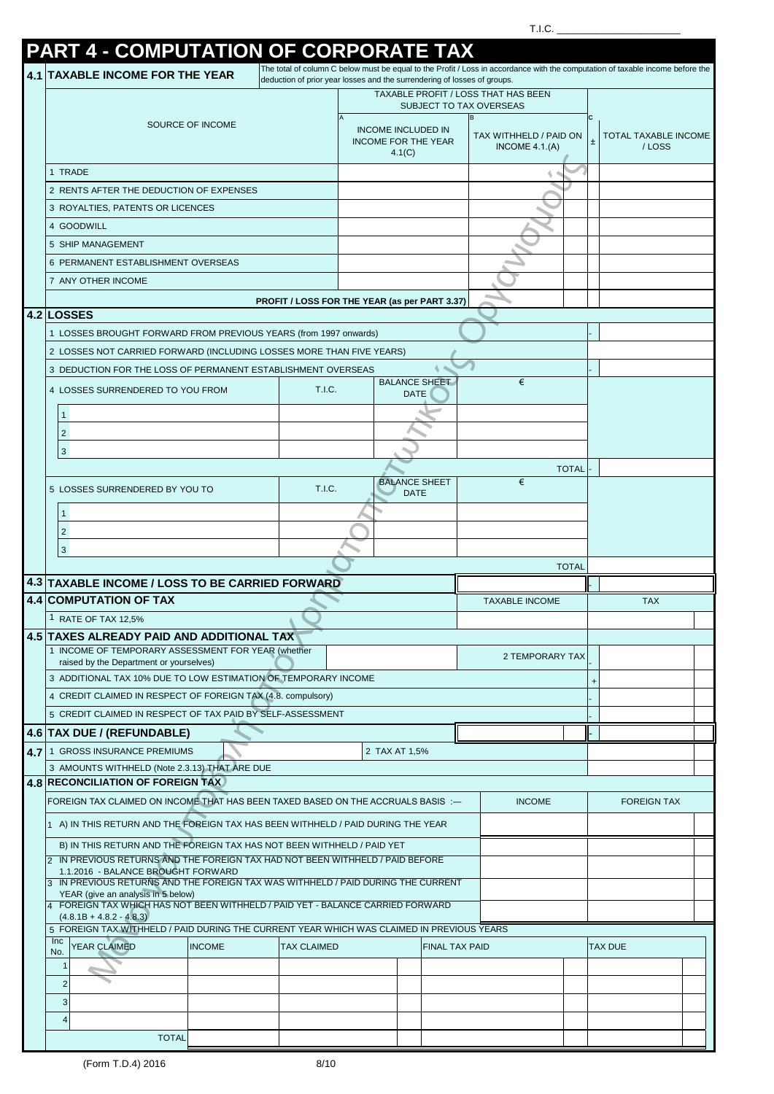| PART 4 - COMPUTATION OF CORPORATE TAX                                                                                                                 |                    |                                                                          |                                           |              |   |                                                                                                                                |
|-------------------------------------------------------------------------------------------------------------------------------------------------------|--------------------|--------------------------------------------------------------------------|-------------------------------------------|--------------|---|--------------------------------------------------------------------------------------------------------------------------------|
| <b>4.1 TAXABLE INCOME FOR THE YEAR</b>                                                                                                                |                    | deduction of prior year losses and the surrendering of losses of groups. |                                           |              |   | The total of column C below must be equal to the Profit / Loss in accordance with the computation of taxable income before the |
|                                                                                                                                                       |                    |                                                                          | TAXABLE PROFIT / LOSS THAT HAS BEEN       |              |   |                                                                                                                                |
|                                                                                                                                                       |                    |                                                                          | SUBJECT TO TAX OVERSEAS                   |              |   |                                                                                                                                |
| SOURCE OF INCOME                                                                                                                                      |                    | <b>INCOME INCLUDED IN</b><br><b>INCOME FOR THE YEAR</b><br>4.1(C)        | TAX WITHHELD / PAID ON<br>INCOME $4.1(A)$ |              |   | TOTAL TAXABLE INCOME<br>/LOSS                                                                                                  |
| 1 TRADE                                                                                                                                               |                    |                                                                          |                                           |              |   |                                                                                                                                |
| 2 RENTS AFTER THE DEDUCTION OF EXPENSES                                                                                                               |                    |                                                                          |                                           |              |   |                                                                                                                                |
| 3 ROYALTIES, PATENTS OR LICENCES                                                                                                                      |                    |                                                                          |                                           |              |   |                                                                                                                                |
| 4 GOODWILL                                                                                                                                            |                    |                                                                          |                                           |              |   |                                                                                                                                |
| 5 SHIP MANAGEMENT                                                                                                                                     |                    |                                                                          |                                           |              |   |                                                                                                                                |
| 6 PERMANENT ESTABLISHMENT OVERSEAS                                                                                                                    |                    |                                                                          |                                           |              |   |                                                                                                                                |
| 7 ANY OTHER INCOME                                                                                                                                    |                    |                                                                          |                                           |              |   |                                                                                                                                |
|                                                                                                                                                       |                    | PROFIT / LOSS FOR THE YEAR (as per PART 3.37)                            |                                           |              |   |                                                                                                                                |
| 4.2 LOSSES                                                                                                                                            |                    |                                                                          |                                           |              |   |                                                                                                                                |
| 1 LOSSES BROUGHT FORWARD FROM PREVIOUS YEARS (from 1997 onwards)                                                                                      |                    |                                                                          |                                           |              |   |                                                                                                                                |
| 2 LOSSES NOT CARRIED FORWARD (INCLUDING LOSSES MORE THAN FIVE YEARS)                                                                                  |                    |                                                                          |                                           |              |   |                                                                                                                                |
| 3 DEDUCTION FOR THE LOSS OF PERMANENT ESTABLISHMENT OVERSEAS                                                                                          |                    | <b>BALANCE SHEET</b>                                                     | €                                         |              |   |                                                                                                                                |
| 4 LOSSES SURRENDERED TO YOU FROM                                                                                                                      | T.I.C.             | DATE                                                                     |                                           |              |   |                                                                                                                                |
| 1                                                                                                                                                     |                    |                                                                          |                                           |              |   |                                                                                                                                |
| $\overline{2}$                                                                                                                                        |                    |                                                                          |                                           |              |   |                                                                                                                                |
| 3                                                                                                                                                     |                    |                                                                          |                                           |              |   |                                                                                                                                |
|                                                                                                                                                       |                    |                                                                          |                                           | <b>TOTAL</b> |   |                                                                                                                                |
| 5 LOSSES SURRENDERED BY YOU TO                                                                                                                        | T.I.C.             | <b>BALANCE SHEET</b>                                                     | €                                         |              |   |                                                                                                                                |
|                                                                                                                                                       |                    | <b>DATE</b>                                                              |                                           |              |   |                                                                                                                                |
| 1                                                                                                                                                     |                    |                                                                          |                                           |              |   |                                                                                                                                |
| $\overline{c}$                                                                                                                                        |                    |                                                                          |                                           |              |   |                                                                                                                                |
| $\mathbf{3}$                                                                                                                                          |                    |                                                                          |                                           |              |   |                                                                                                                                |
|                                                                                                                                                       |                    |                                                                          |                                           |              |   |                                                                                                                                |
|                                                                                                                                                       |                    |                                                                          |                                           | <b>TOTAL</b> |   |                                                                                                                                |
| 4.3 TAXABLE INCOME / LOSS TO BE CARRIED FORWARD                                                                                                       |                    |                                                                          | <b>TAXABLE INCOME</b>                     |              |   | <b>TAX</b>                                                                                                                     |
| <b>4.4 COMPUTATION OF TAX</b><br><sup>1</sup> RATE OF TAX 12,5%                                                                                       |                    |                                                                          |                                           |              |   |                                                                                                                                |
| 4.5 TAXES ALREADY PAID AND ADDITIONAL TAX                                                                                                             |                    |                                                                          |                                           |              |   |                                                                                                                                |
| 1 INCOME OF TEMPORARY ASSESSMENT FOR YEAR (whether                                                                                                    |                    |                                                                          | 2 TEMPORARY TAX                           |              |   |                                                                                                                                |
| raised by the Department or yourselves)                                                                                                               |                    |                                                                          |                                           |              |   |                                                                                                                                |
| 3 ADDITIONAL TAX 10% DUE TO LOW ESTIMATION OF TEMPORARY INCOME                                                                                        |                    |                                                                          |                                           |              | + |                                                                                                                                |
| 4 CREDIT CLAIMED IN RESPECT OF FOREIGN TAX (4.8. compulsory)                                                                                          |                    |                                                                          |                                           |              |   |                                                                                                                                |
| 5 CREDIT CLAIMED IN RESPECT OF TAX PAID BY SELF-ASSESSMENT                                                                                            |                    |                                                                          |                                           |              |   |                                                                                                                                |
| 4.6   TAX DUE / (REFUNDABLE)                                                                                                                          |                    |                                                                          |                                           |              |   |                                                                                                                                |
| 4.7 1 GROSS INSURANCE PREMIUMS<br>3 AMOUNTS WITHHELD (Note 2.3.13) THAT ARE DUE                                                                       |                    | 2 TAX AT 1,5%                                                            |                                           |              |   |                                                                                                                                |
| <b>4.8 RECONCILIATION OF FOREIGN TAX</b>                                                                                                              |                    |                                                                          |                                           |              |   |                                                                                                                                |
| FOREIGN TAX CLAIMED ON INCOME THAT HAS BEEN TAXED BASED ON THE ACCRUALS BASIS :-                                                                      |                    |                                                                          | <b>INCOME</b>                             |              |   | <b>FOREIGN TAX</b>                                                                                                             |
| 1 A) IN THIS RETURN AND THE FOREIGN TAX HAS BEEN WITHHELD / PAID DURING THE YEAR                                                                      |                    |                                                                          |                                           |              |   |                                                                                                                                |
|                                                                                                                                                       |                    |                                                                          |                                           |              |   |                                                                                                                                |
| B) IN THIS RETURN AND THE FOREIGN TAX HAS NOT BEEN WITHHELD / PAID YET<br>IN PREVIOUS RETURNS AND THE FOREIGN TAX HAD NOT BEEN WITHHELD / PAID BEFORE |                    |                                                                          |                                           |              |   |                                                                                                                                |
| 1.1.2016 - BALANCE BROUGHT FORWARD                                                                                                                    |                    |                                                                          |                                           |              |   |                                                                                                                                |
| IN PREVIOUS RETURNS AND THE FOREIGN TAX WAS WITHHELD / PAID DURING THE CURRENT<br>YEAR (give an analysis in 5 below)                                  |                    |                                                                          |                                           |              |   |                                                                                                                                |
| FOREIGN TAX WHICH HAS NOT BEEN WITHHELD / PAID YET - BALANCE CARRIED FORWARD                                                                          |                    |                                                                          |                                           |              |   |                                                                                                                                |
| $(4.8.1B + 4.8.2 - 4.8.3)$<br>5 FOREIGN TAX WITHHELD / PAID DURING THE CURRENT YEAR WHICH WAS CLAIMED IN PREVIOUS YEARS                               |                    |                                                                          |                                           |              |   |                                                                                                                                |
| <b>Inc</b><br><b>YEAR CLAIMED</b><br><b>INCOME</b><br>No.                                                                                             | <b>TAX CLAIMED</b> | <b>FINAL TAX PAID</b>                                                    |                                           |              |   | <b>TAX DUE</b>                                                                                                                 |
| 1                                                                                                                                                     |                    |                                                                          |                                           |              |   |                                                                                                                                |
| $\overline{2}$                                                                                                                                        |                    |                                                                          |                                           |              |   |                                                                                                                                |
| $\mathbf{3}$                                                                                                                                          |                    |                                                                          |                                           |              |   |                                                                                                                                |
| 4                                                                                                                                                     |                    |                                                                          |                                           |              |   |                                                                                                                                |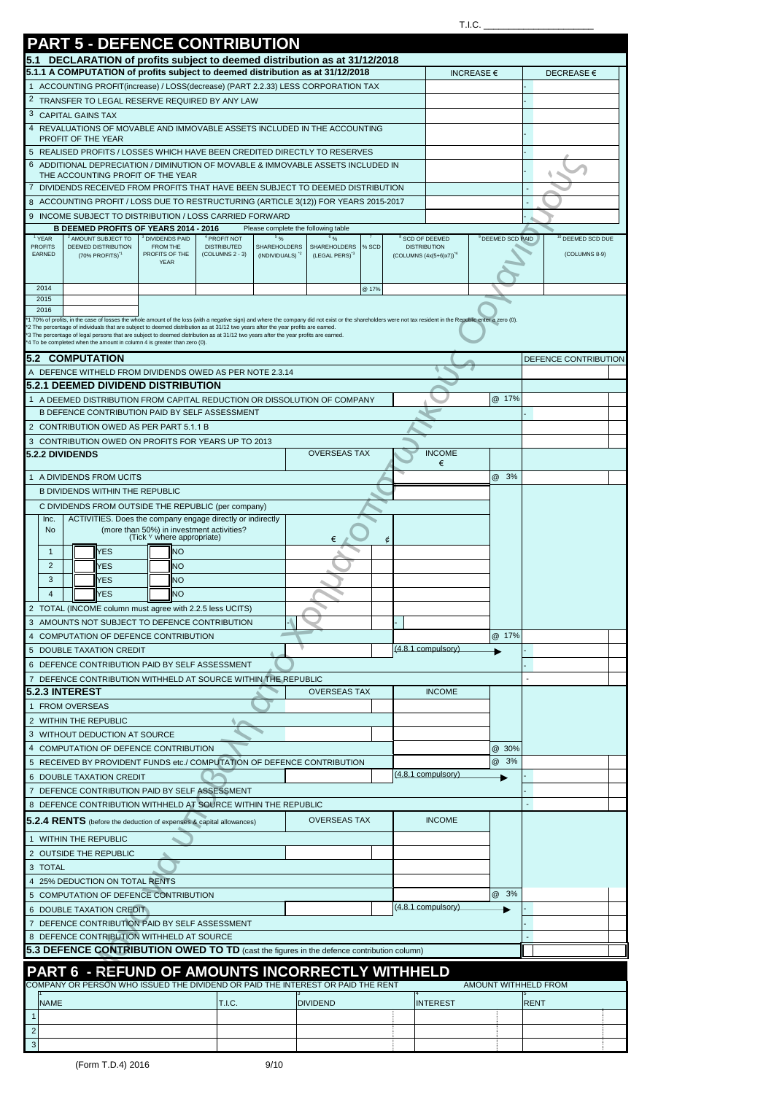|                                     | <b>PART 5 - DEFENCE CONTRIBUTION</b>                                                                                                                                                                                                                                                                                                            |                                                                         |                                               |                                     |                                   |       |   |                                      |                      |             |                             |  |
|-------------------------------------|-------------------------------------------------------------------------------------------------------------------------------------------------------------------------------------------------------------------------------------------------------------------------------------------------------------------------------------------------|-------------------------------------------------------------------------|-----------------------------------------------|-------------------------------------|-----------------------------------|-------|---|--------------------------------------|----------------------|-------------|-----------------------------|--|
| 5.1                                 | DECLARATION of profits subject to deemed distribution as at 31/12/2018<br>5.1.1 A COMPUTATION of profits subject to deemed distribution as at 31/12/2018                                                                                                                                                                                        |                                                                         |                                               |                                     |                                   |       |   |                                      |                      |             |                             |  |
| $\mathbf{1}$                        | ACCOUNTING PROFIT(increase) / LOSS(decrease) (PART 2.2.33) LESS CORPORATION TAX                                                                                                                                                                                                                                                                 |                                                                         |                                               |                                     |                                   |       |   |                                      | <b>INCREASE €</b>    |             | DECREASE €                  |  |
|                                     | <sup>2</sup> TRANSFER TO LEGAL RESERVE REQUIRED BY ANY LAW                                                                                                                                                                                                                                                                                      |                                                                         |                                               |                                     |                                   |       |   |                                      |                      |             |                             |  |
|                                     | 3 CAPITAL GAINS TAX                                                                                                                                                                                                                                                                                                                             |                                                                         |                                               |                                     |                                   |       |   |                                      |                      |             |                             |  |
| 4                                   | REVALUATIONS OF MOVABLE AND IMMOVABLE ASSETS INCLUDED IN THE ACCOUNTING                                                                                                                                                                                                                                                                         |                                                                         |                                               |                                     |                                   |       |   |                                      |                      |             |                             |  |
|                                     | PROFIT OF THE YEAR<br>5 REALISED PROFITS / LOSSES WHICH HAVE BEEN CREDITED DIRECTLY TO RESERVES                                                                                                                                                                                                                                                 |                                                                         |                                               |                                     |                                   |       |   |                                      |                      |             |                             |  |
| 6                                   | ADDITIONAL DEPRECIATION / DIMINUTION OF MOVABLE & IMMOVABLE ASSETS INCLUDED IN                                                                                                                                                                                                                                                                  |                                                                         |                                               |                                     |                                   |       |   |                                      |                      |             |                             |  |
|                                     | THE ACCOUNTING PROFIT OF THE YEAR                                                                                                                                                                                                                                                                                                               |                                                                         |                                               |                                     |                                   |       |   |                                      |                      |             |                             |  |
|                                     | DIVIDENDS RECEIVED FROM PROFITS THAT HAVE BEEN SUBJECT TO DEEMED DISTRIBUTION<br>ACCOUNTING PROFIT / LOSS DUE TO RESTRUCTURING (ARTICLE 3(12)) FOR YEARS 2015-2017                                                                                                                                                                              |                                                                         |                                               |                                     |                                   |       |   |                                      |                      |             |                             |  |
|                                     | 9 INCOME SUBJECT TO DISTRIBUTION / LOSS CARRIED FORWARD                                                                                                                                                                                                                                                                                         |                                                                         |                                               |                                     |                                   |       |   |                                      |                      |             |                             |  |
|                                     | B DEEMED PROFITS OF YEARS 2014 - 2016                                                                                                                                                                                                                                                                                                           |                                                                         |                                               | Please complete the following table |                                   |       |   |                                      |                      |             |                             |  |
| <sup>1</sup> YEAR<br><b>PROFITS</b> | <sup>2</sup> AMOUNT SUBJECT TO<br>DEEMED DISTRIBUTION                                                                                                                                                                                                                                                                                           | <sup>3</sup> DIVIDENDS PAID<br>FROM THE                                 | <sup>4</sup> PROFIT NOT<br><b>DISTRIBUTED</b> | 596<br>SHAREHOLDERS                 | 6 o <sub>/o</sub><br>SHAREHOLDERS | % SCD |   | SCD OF DEEMED<br><b>DISTRIBUTION</b> | DEEMED SCD PAID      |             | <sup>0</sup> DEEMED SCD DUE |  |
| EARNED                              | (70% PROFITS) <sup>1</sup>                                                                                                                                                                                                                                                                                                                      | PROFITS OF THE<br><b>YEAR</b>                                           | $(COLUTIONNS 2 - 3)$                          | (INDIVIDUALS) <sup>2</sup>          | (LEGAL PERS) <sup>3</sup>         |       |   | $(COLUTIONNS (4x(5+6)x7))^{4}$       |                      |             | (COLUMNS 8-9)               |  |
|                                     |                                                                                                                                                                                                                                                                                                                                                 |                                                                         |                                               |                                     |                                   |       |   |                                      |                      |             |                             |  |
| 2014<br>2015                        |                                                                                                                                                                                                                                                                                                                                                 |                                                                         |                                               |                                     |                                   | @ 17% |   |                                      |                      |             |                             |  |
| 2016                                |                                                                                                                                                                                                                                                                                                                                                 |                                                                         |                                               |                                     |                                   |       |   |                                      |                      |             |                             |  |
|                                     | 1 70% of profits, in the case of losses the whole amount of the loss (with a negative sign) and where the company did not exist or the shareholders were not tax resident in the Republic enter a zero (0).<br>2 The percentage of individuals that are subject to deemed distribution as at 31/12 two years after the year profits are earned. |                                                                         |                                               |                                     |                                   |       |   |                                      |                      |             |                             |  |
|                                     | 3 The percentage of legal persons that are subject to deemed distribution as at 31/12 two years after the year profits are earned.<br>4 To be completed when the amount in column 4 is greater than zero (0).                                                                                                                                   |                                                                         |                                               |                                     |                                   |       |   |                                      |                      |             |                             |  |
|                                     | <b>5.2 COMPUTATION</b>                                                                                                                                                                                                                                                                                                                          |                                                                         |                                               |                                     |                                   |       |   |                                      |                      |             | DEFENCE CONTRIBUTION        |  |
|                                     | A DEFENCE WITHELD FROM DIVIDENDS OWED AS PER NOTE 2.3.14                                                                                                                                                                                                                                                                                        |                                                                         |                                               |                                     |                                   |       |   |                                      |                      |             |                             |  |
|                                     | 5.2.1 DEEMED DIVIDEND DISTRIBUTION                                                                                                                                                                                                                                                                                                              |                                                                         |                                               |                                     |                                   |       |   |                                      | @ 17%                |             |                             |  |
|                                     | A DEEMED DISTRIBUTION FROM CAPITAL REDUCTION OR DISSOLUTION OF COMPANY<br>B DEFENCE CONTRIBUTION PAID BY SELF ASSESSMENT                                                                                                                                                                                                                        |                                                                         |                                               |                                     |                                   |       |   |                                      |                      |             |                             |  |
|                                     | 2 CONTRIBUTION OWED AS PER PART 5.1.1 B                                                                                                                                                                                                                                                                                                         |                                                                         |                                               |                                     |                                   |       |   |                                      |                      |             |                             |  |
|                                     | 3 CONTRIBUTION OWED ON PROFITS FOR YEARS UP TO 2013                                                                                                                                                                                                                                                                                             |                                                                         |                                               |                                     |                                   |       |   |                                      |                      |             |                             |  |
| 5.2.2 DIVIDENDS                     |                                                                                                                                                                                                                                                                                                                                                 |                                                                         |                                               |                                     | <b>OVERSEAS TAX</b>               |       |   | <b>INCOME</b>                        |                      |             |                             |  |
|                                     | 1 A DIVIDENDS FROM UCITS                                                                                                                                                                                                                                                                                                                        |                                                                         |                                               |                                     |                                   |       |   | €                                    | @ 3%                 |             |                             |  |
|                                     | <b>B DIVIDENDS WITHIN THE REPUBLIC</b>                                                                                                                                                                                                                                                                                                          |                                                                         |                                               |                                     |                                   |       |   |                                      |                      |             |                             |  |
|                                     | C DIVIDENDS FROM OUTSIDE THE REPUBLIC (per company)                                                                                                                                                                                                                                                                                             |                                                                         |                                               |                                     |                                   |       |   |                                      |                      |             |                             |  |
| Inc.                                | ACTIVITIES. Does the company engage directly or indirectly                                                                                                                                                                                                                                                                                      |                                                                         |                                               |                                     |                                   |       |   |                                      |                      |             |                             |  |
| No                                  |                                                                                                                                                                                                                                                                                                                                                 | (more than 50%) in investment activities?<br>(Tick Y where appropriate) |                                               |                                     | €                                 |       | ¢ |                                      |                      |             |                             |  |
| $\mathbf{1}$                        | <b>YES</b>                                                                                                                                                                                                                                                                                                                                      | NO                                                                      |                                               |                                     |                                   |       |   |                                      |                      |             |                             |  |
| $\overline{2}$                      | YES                                                                                                                                                                                                                                                                                                                                             | NΟ                                                                      |                                               |                                     |                                   |       |   |                                      |                      |             |                             |  |
| 3                                   | <b>YES</b>                                                                                                                                                                                                                                                                                                                                      | <b>NO</b>                                                               |                                               |                                     |                                   |       |   |                                      |                      |             |                             |  |
| $\overline{4}$                      | <b>YES</b><br>2 TOTAL (INCOME column must agree with 2.2.5 less UCITS)                                                                                                                                                                                                                                                                          | NO                                                                      |                                               |                                     |                                   |       |   |                                      |                      |             |                             |  |
|                                     | 3 AMOUNTS NOT SUBJECT TO DEFENCE CONTRIBUTION                                                                                                                                                                                                                                                                                                   |                                                                         |                                               |                                     |                                   |       |   |                                      |                      |             |                             |  |
|                                     | 4 COMPUTATION OF DEFENCE CONTRIBUTION                                                                                                                                                                                                                                                                                                           |                                                                         |                                               |                                     |                                   |       |   |                                      | @ 17%                |             |                             |  |
|                                     | 5 DOUBLE TAXATION CREDIT                                                                                                                                                                                                                                                                                                                        |                                                                         |                                               |                                     |                                   |       |   | (4.8.1 compulsory)                   |                      |             |                             |  |
|                                     | 6 DEFENCE CONTRIBUTION PAID BY SELF ASSESSMENT                                                                                                                                                                                                                                                                                                  |                                                                         |                                               |                                     |                                   |       |   |                                      |                      |             |                             |  |
|                                     | 7 DEFENCE CONTRIBUTION WITHHELD AT SOURCE WITHIN THE REPUBLIC                                                                                                                                                                                                                                                                                   |                                                                         |                                               |                                     |                                   |       |   |                                      |                      |             |                             |  |
|                                     | <b>5.2.3 INTEREST</b><br>1 FROM OVERSEAS                                                                                                                                                                                                                                                                                                        |                                                                         |                                               |                                     | <b>OVERSEAS TAX</b>               |       |   | <b>INCOME</b>                        |                      |             |                             |  |
|                                     | 2 WITHIN THE REPUBLIC                                                                                                                                                                                                                                                                                                                           |                                                                         |                                               |                                     |                                   |       |   |                                      |                      |             |                             |  |
|                                     | 3 WITHOUT DEDUCTION AT SOURCE                                                                                                                                                                                                                                                                                                                   |                                                                         |                                               |                                     |                                   |       |   |                                      |                      |             |                             |  |
|                                     | 4 COMPUTATION OF DEFENCE CONTRIBUTION                                                                                                                                                                                                                                                                                                           |                                                                         |                                               |                                     |                                   |       |   |                                      | @ 30%                |             |                             |  |
|                                     | 5 RECEIVED BY PROVIDENT FUNDS etc./ COMPUTATION OF DEFENCE CONTRIBUTION                                                                                                                                                                                                                                                                         |                                                                         |                                               |                                     |                                   |       |   |                                      | @ 3%                 |             |                             |  |
|                                     | 6 DOUBLE TAXATION CREDIT                                                                                                                                                                                                                                                                                                                        |                                                                         |                                               |                                     |                                   |       |   | (4.8.1 compulsory)                   |                      |             |                             |  |
|                                     | 7 DEFENCE CONTRIBUTION PAID BY SELF ASSESSMENT<br>8 DEFENCE CONTRIBUTION WITHHELD AT SOURCE WITHIN THE REPUBLIC                                                                                                                                                                                                                                 |                                                                         |                                               |                                     |                                   |       |   |                                      |                      |             |                             |  |
|                                     | 5.2.4 RENTS (before the deduction of expenses & capital allowances)                                                                                                                                                                                                                                                                             |                                                                         |                                               |                                     | <b>OVERSEAS TAX</b>               |       |   | <b>INCOME</b>                        |                      |             |                             |  |
|                                     |                                                                                                                                                                                                                                                                                                                                                 |                                                                         |                                               |                                     |                                   |       |   |                                      |                      |             |                             |  |
|                                     | 1 WITHIN THE REPUBLIC<br>2 OUTSIDE THE REPUBLIC                                                                                                                                                                                                                                                                                                 |                                                                         |                                               |                                     |                                   |       |   |                                      |                      |             |                             |  |
| 3 TOTAL                             |                                                                                                                                                                                                                                                                                                                                                 |                                                                         |                                               |                                     |                                   |       |   |                                      |                      |             |                             |  |
|                                     | 4 25% DEDUCTION ON TOTAL RENTS                                                                                                                                                                                                                                                                                                                  |                                                                         |                                               |                                     |                                   |       |   |                                      |                      |             |                             |  |
|                                     | 5 COMPUTATION OF DEFENCE CONTRIBUTION                                                                                                                                                                                                                                                                                                           |                                                                         |                                               |                                     |                                   |       |   |                                      | @ 3%                 |             |                             |  |
|                                     | 6 DOUBLE TAXATION CREDIT                                                                                                                                                                                                                                                                                                                        |                                                                         |                                               |                                     |                                   |       |   | $(4.8.1$ compulsory)                 |                      |             |                             |  |
|                                     | 7 DEFENCE CONTRIBUTION PAID BY SELF ASSESSMENT                                                                                                                                                                                                                                                                                                  |                                                                         |                                               |                                     |                                   |       |   |                                      |                      |             |                             |  |
|                                     | 8 DEFENCE CONTRIBUTION WITHHELD AT SOURCE                                                                                                                                                                                                                                                                                                       |                                                                         |                                               |                                     |                                   |       |   |                                      |                      |             |                             |  |
|                                     | 5.3 DEFENCE CONTRIBUTION OWED TO TD (cast the figures in the defence contribution column)                                                                                                                                                                                                                                                       |                                                                         |                                               |                                     |                                   |       |   |                                      |                      |             |                             |  |
|                                     | PART 6 - REFUND OF AMOUNTS INCORRECTLY WITHHELD                                                                                                                                                                                                                                                                                                 |                                                                         |                                               |                                     |                                   |       |   |                                      |                      |             |                             |  |
|                                     | COMPANY OR PERSON WHO ISSUED THE DIVIDEND OR PAID THE INTEREST OR PAID THE RENT                                                                                                                                                                                                                                                                 |                                                                         |                                               |                                     |                                   |       |   |                                      | AMOUNT WITHHELD FROM |             |                             |  |
| <b>NAME</b>                         |                                                                                                                                                                                                                                                                                                                                                 |                                                                         | T.I.C.                                        |                                     | <b>DIVIDEND</b>                   |       |   | <b>INTEREST</b>                      |                      | <b>RENT</b> |                             |  |
| $\overline{1}$<br>$\overline{2}$    |                                                                                                                                                                                                                                                                                                                                                 |                                                                         |                                               |                                     |                                   |       |   |                                      |                      |             |                             |  |
| $\overline{3}$                      |                                                                                                                                                                                                                                                                                                                                                 |                                                                         |                                               |                                     |                                   |       |   |                                      |                      |             |                             |  |

 $T.I.C.$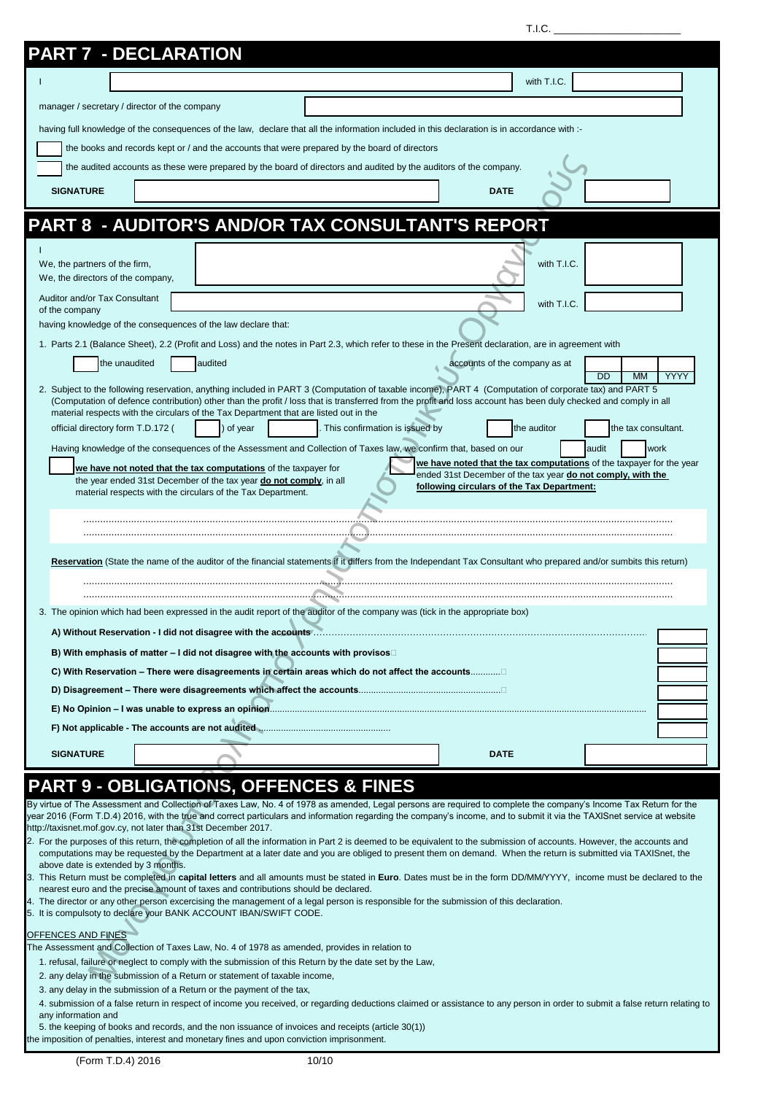| 1.1.0. |
|--------|
|--------|

| <b>PART 7 - DECLARATION</b>                                        |                                                                                                                                   |                                                                                                                                                                                                                                                                                                                                                                                                   |                                            |                                                                      |  |
|--------------------------------------------------------------------|-----------------------------------------------------------------------------------------------------------------------------------|---------------------------------------------------------------------------------------------------------------------------------------------------------------------------------------------------------------------------------------------------------------------------------------------------------------------------------------------------------------------------------------------------|--------------------------------------------|----------------------------------------------------------------------|--|
|                                                                    |                                                                                                                                   |                                                                                                                                                                                                                                                                                                                                                                                                   |                                            | with T.I.C.                                                          |  |
| manager / secretary / director of the company                      |                                                                                                                                   |                                                                                                                                                                                                                                                                                                                                                                                                   |                                            |                                                                      |  |
|                                                                    |                                                                                                                                   | having full knowledge of the consequences of the law, declare that all the information included in this declaration is in accordance with :-                                                                                                                                                                                                                                                      |                                            |                                                                      |  |
|                                                                    |                                                                                                                                   | the books and records kept or / and the accounts that were prepared by the board of directors                                                                                                                                                                                                                                                                                                     |                                            |                                                                      |  |
|                                                                    |                                                                                                                                   | the audited accounts as these were prepared by the board of directors and audited by the auditors of the company.                                                                                                                                                                                                                                                                                 |                                            |                                                                      |  |
| <b>SIGNATURE</b>                                                   |                                                                                                                                   |                                                                                                                                                                                                                                                                                                                                                                                                   | <b>DATE</b>                                |                                                                      |  |
|                                                                    |                                                                                                                                   |                                                                                                                                                                                                                                                                                                                                                                                                   |                                            |                                                                      |  |
|                                                                    |                                                                                                                                   | <b>PART 8 - AUDITOR'S AND/OR TAX CONSULTANT'S REPORT</b>                                                                                                                                                                                                                                                                                                                                          |                                            |                                                                      |  |
|                                                                    |                                                                                                                                   |                                                                                                                                                                                                                                                                                                                                                                                                   |                                            |                                                                      |  |
| We, the partners of the firm,                                      |                                                                                                                                   |                                                                                                                                                                                                                                                                                                                                                                                                   |                                            | with T.I.C.                                                          |  |
| We, the directors of the company,<br>Auditor and/or Tax Consultant |                                                                                                                                   |                                                                                                                                                                                                                                                                                                                                                                                                   |                                            |                                                                      |  |
| of the company                                                     |                                                                                                                                   |                                                                                                                                                                                                                                                                                                                                                                                                   |                                            | with T.I.C.                                                          |  |
|                                                                    | having knowledge of the consequences of the law declare that:                                                                     |                                                                                                                                                                                                                                                                                                                                                                                                   |                                            |                                                                      |  |
|                                                                    |                                                                                                                                   | 1. Parts 2.1 (Balance Sheet), 2.2 (Profit and Loss) and the notes in Part 2.3, which refer to these in the Present declaration, are in agreement with                                                                                                                                                                                                                                             |                                            |                                                                      |  |
| the unaudited                                                      | audited                                                                                                                           |                                                                                                                                                                                                                                                                                                                                                                                                   | accounts of the company as at              | YYYY<br>DD<br>MM                                                     |  |
|                                                                    |                                                                                                                                   | 2. Subject to the following reservation, anything included in PART 3 (Computation of taxable income), PART 4 (Computation of corporate tax) and PART 5<br>(Computation of defence contribution) other than the profit / loss that is transferred from the profit and loss account has been duly checked and comply in all                                                                         |                                            |                                                                      |  |
| official directory form T.D.172 (                                  | material respects with the circulars of the Tax Department that are listed out in the<br>of year                                  | This confirmation is issued by                                                                                                                                                                                                                                                                                                                                                                    | the auditor                                | the tax consultant.                                                  |  |
|                                                                    |                                                                                                                                   | Having knowledge of the consequences of the Assessment and Collection of Taxes law, we confirm that, based on our                                                                                                                                                                                                                                                                                 |                                            | audit<br>work                                                        |  |
|                                                                    | we have not noted that the tax computations of the taxpayer for                                                                   |                                                                                                                                                                                                                                                                                                                                                                                                   |                                            | we have noted that the tax computations of the taxpayer for the year |  |
|                                                                    | the year ended 31st December of the tax year do not comply, in all<br>material respects with the circulars of the Tax Department. |                                                                                                                                                                                                                                                                                                                                                                                                   | following circulars of the Tax Department: | ended 31st December of the tax year do not comply, with the          |  |
|                                                                    |                                                                                                                                   |                                                                                                                                                                                                                                                                                                                                                                                                   |                                            |                                                                      |  |
|                                                                    |                                                                                                                                   |                                                                                                                                                                                                                                                                                                                                                                                                   |                                            |                                                                      |  |
|                                                                    |                                                                                                                                   | Reservation (State the name of the auditor of the financial statements if it differs from the Independant Tax Consultant who prepared and/or sumbits this return)                                                                                                                                                                                                                                 |                                            |                                                                      |  |
|                                                                    |                                                                                                                                   |                                                                                                                                                                                                                                                                                                                                                                                                   |                                            |                                                                      |  |
|                                                                    |                                                                                                                                   |                                                                                                                                                                                                                                                                                                                                                                                                   |                                            |                                                                      |  |
|                                                                    |                                                                                                                                   | 3. The opinion which had been expressed in the audit report of the auditor of the company was (tick in the appropriate box)                                                                                                                                                                                                                                                                       |                                            |                                                                      |  |
|                                                                    |                                                                                                                                   |                                                                                                                                                                                                                                                                                                                                                                                                   |                                            |                                                                      |  |
|                                                                    | B) With emphasis of matter - I did not disagree with the accounts with provisos                                                   | C) With Reservation – There were disagreements in certain areas which do not affect the accounts                                                                                                                                                                                                                                                                                                  |                                            |                                                                      |  |
|                                                                    |                                                                                                                                   |                                                                                                                                                                                                                                                                                                                                                                                                   |                                            |                                                                      |  |
|                                                                    |                                                                                                                                   |                                                                                                                                                                                                                                                                                                                                                                                                   |                                            |                                                                      |  |
|                                                                    |                                                                                                                                   |                                                                                                                                                                                                                                                                                                                                                                                                   |                                            |                                                                      |  |
| <b>SIGNATURE</b>                                                   |                                                                                                                                   |                                                                                                                                                                                                                                                                                                                                                                                                   | <b>DATE</b>                                |                                                                      |  |
|                                                                    |                                                                                                                                   |                                                                                                                                                                                                                                                                                                                                                                                                   |                                            |                                                                      |  |
|                                                                    | http://taxisnet.mof.gov.cy, not later than 31st December 2017.                                                                    | <b>PART 9 - OBLIGATIONS, OFFENCES &amp; FINES</b><br>By virtue of The Assessment and Collection of Taxes Law, No. 4 of 1978 as amended, Legal persons are required to complete the company's Income Tax Return for the<br>year 2016 (Form T.D.4) 2016, with the true and correct particulars and information regarding the company's income, and to submit it via the TAXISnet service at website |                                            |                                                                      |  |
|                                                                    |                                                                                                                                   | 2. For the purposes of this return, the completion of all the information in Part 2 is deemed to be equivalent to the submission of accounts. However, the accounts and                                                                                                                                                                                                                           |                                            |                                                                      |  |
| above date is extended by 3 months.                                |                                                                                                                                   | computations may be requested by the Department at a later date and you are obliged to present them on demand. When the return is submitted via TAXISnet, the                                                                                                                                                                                                                                     |                                            |                                                                      |  |
|                                                                    | nearest euro and the precise amount of taxes and contributions should be declared.                                                | 3. This Return must be completed in capital letters and all amounts must be stated in Euro. Dates must be in the form DD/MM/YYYY, income must be declared to the                                                                                                                                                                                                                                  |                                            |                                                                      |  |
|                                                                    | 5. It is compulsoty to declare your BANK ACCOUNT IBAN/SWIFT CODE.                                                                 | 4. The director or any other person excercising the management of a legal person is responsible for the submission of this declaration.                                                                                                                                                                                                                                                           |                                            |                                                                      |  |
| OFFENCES AND FINES                                                 |                                                                                                                                   |                                                                                                                                                                                                                                                                                                                                                                                                   |                                            |                                                                      |  |
|                                                                    |                                                                                                                                   | The Assessment and Collection of Taxes Law, No. 4 of 1978 as amended, provides in relation to<br>1. refusal, failure or neglect to comply with the submission of this Return by the date set by the Law,                                                                                                                                                                                          |                                            |                                                                      |  |
|                                                                    | 2. any delay in the submission of a Return or statement of taxable income,                                                        |                                                                                                                                                                                                                                                                                                                                                                                                   |                                            |                                                                      |  |
|                                                                    | 3. any delay in the submission of a Return or the payment of the tax,                                                             |                                                                                                                                                                                                                                                                                                                                                                                                   |                                            |                                                                      |  |
| any information and                                                |                                                                                                                                   | 4. submission of a false return in respect of income you received, or regarding deductions claimed or assistance to any person in order to submit a false return relating to                                                                                                                                                                                                                      |                                            |                                                                      |  |
|                                                                    | the imposition of penalties, interest and monetary fines and upon conviction imprisonment.                                        | 5. the keeping of books and records, and the non issuance of invoices and receipts (article 30(1))                                                                                                                                                                                                                                                                                                |                                            |                                                                      |  |
|                                                                    |                                                                                                                                   |                                                                                                                                                                                                                                                                                                                                                                                                   |                                            |                                                                      |  |